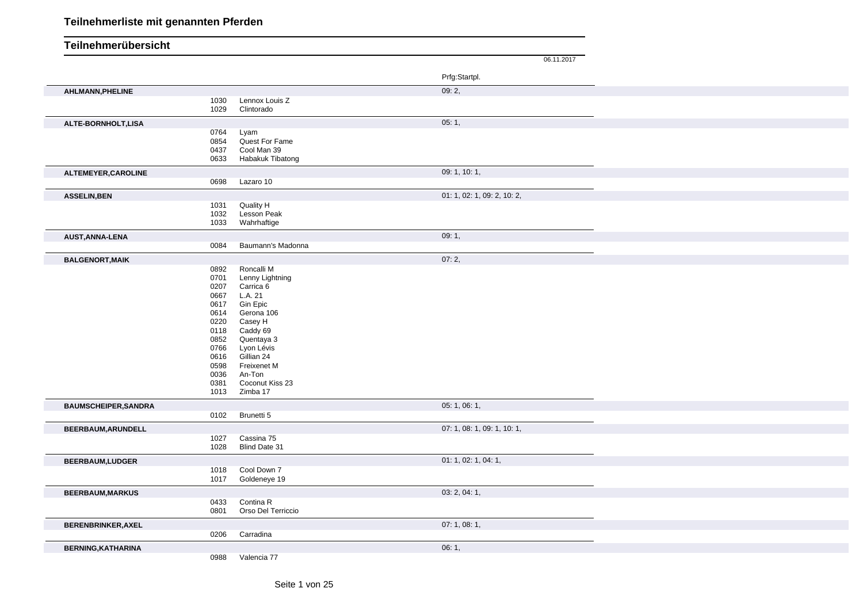|                             |              |                              | 06.11.2017                  |
|-----------------------------|--------------|------------------------------|-----------------------------|
|                             |              |                              |                             |
|                             |              |                              | Prfg:Startpl.               |
| AHLMANN, PHELINE            |              |                              | 09:2,                       |
|                             | 1030<br>1029 | Lennox Louis Z<br>Clintorado |                             |
|                             |              |                              |                             |
| ALTE-BORNHOLT, LISA         | 0764         | Lyam                         | 05:1,                       |
|                             | 0854         | Quest For Fame               |                             |
|                             | 0437         | Cool Man 39                  |                             |
|                             | 0633         | Habakuk Tibatong             |                             |
| ALTEMEYER, CAROLINE         | 0698         | Lazaro 10                    | 09: 1, 10: 1,               |
|                             |              |                              |                             |
| <b>ASSELIN, BEN</b>         | 1031         | Quality H                    | 01: 1, 02: 1, 09: 2, 10: 2, |
|                             | 1032         | Lesson Peak                  |                             |
|                             | 1033         | Wahrhaftige                  |                             |
| AUST, ANNA-LENA             |              |                              | 09:1,                       |
|                             | 0084         | Baumann's Madonna            |                             |
| <b>BALGENORT, MAIK</b>      |              |                              | 07:2,                       |
|                             | 0892         | Roncalli M                   |                             |
|                             | 0701<br>0207 | Lenny Lightning<br>Carrica 6 |                             |
|                             | 0667         | L.A. 21                      |                             |
|                             | 0617         | Gin Epic                     |                             |
|                             | 0614<br>0220 | Gerona 106<br>Casey H        |                             |
|                             | 0118         | Caddy 69                     |                             |
|                             | 0852         | Quentaya 3                   |                             |
|                             | 0766         | Lyon Lévis                   |                             |
|                             | 0616<br>0598 | Gillian 24<br>Freixenet M    |                             |
|                             | 0036         | An-Ton                       |                             |
|                             | 0381         | Coconut Kiss 23              |                             |
|                             | 1013         | Zimba 17                     |                             |
| <b>BAUMSCHEIPER, SANDRA</b> |              |                              | 05:1,06:1,                  |
|                             | 0102         | Brunetti 5                   |                             |
| BEERBAUM, ARUNDELL          |              |                              | 07: 1, 08: 1, 09: 1, 10: 1, |
|                             | 1027<br>1028 | Cassina 75<br>Blind Date 31  |                             |
|                             |              |                              | 01: 1, 02: 1, 04: 1,        |
| <b>BEERBAUM,LUDGER</b>      | 1018         | Cool Down 7                  |                             |
|                             | 1017         | Goldeneye 19                 |                             |
| <b>BEERBAUM, MARKUS</b>     |              |                              | 03: 2, 04: 1,               |
|                             | 0433         | Contina R                    |                             |
|                             | 0801         | Orso Del Terriccio           |                             |
| BERENBRINKER, AXEL          |              |                              | 07:1,08:1,                  |
|                             | 0206         | Carradina                    |                             |
| <b>BERNING, KATHARINA</b>   |              |                              | 06:1,                       |
|                             | 0988         | Valencia 77                  |                             |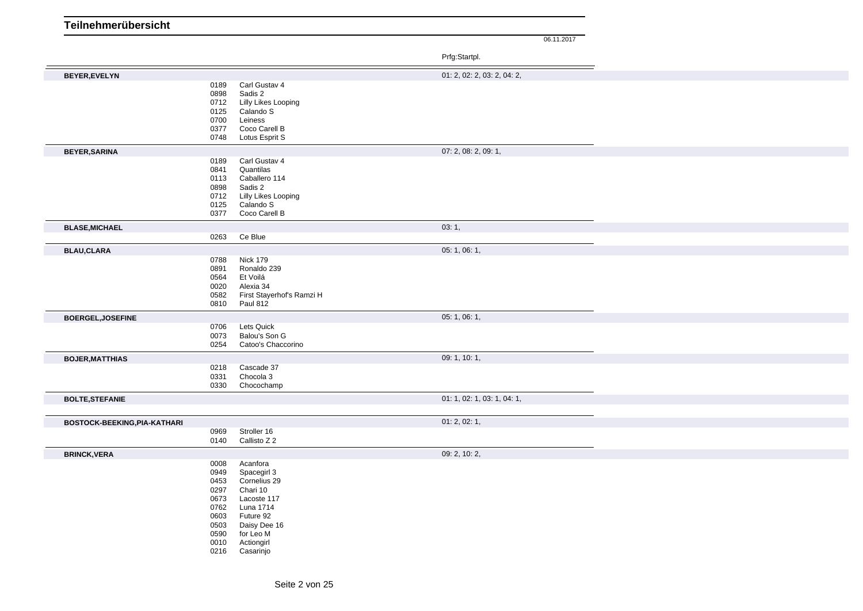|                              |                                                                                      |                                                                                                                                                      | Prfg:Startpl.               |  |
|------------------------------|--------------------------------------------------------------------------------------|------------------------------------------------------------------------------------------------------------------------------------------------------|-----------------------------|--|
| <b>BEYER, EVELYN</b>         |                                                                                      |                                                                                                                                                      | 01: 2, 02: 2, 03: 2, 04: 2, |  |
|                              | 0189<br>0898<br>0712<br>0125<br>0700<br>0377<br>0748                                 | Carl Gustav 4<br>Sadis 2<br>Lilly Likes Looping<br>Calando S<br>Leiness<br>Coco Carell B<br>Lotus Esprit S                                           |                             |  |
| <b>BEYER, SARINA</b>         |                                                                                      |                                                                                                                                                      | 07: 2, 08: 2, 09: 1,        |  |
|                              | 0189<br>0841<br>0113<br>0898<br>0712<br>0125<br>0377                                 | Carl Gustav 4<br>Quantilas<br>Caballero 114<br>Sadis 2<br>Lilly Likes Looping<br>Calando S<br>Coco Carell B                                          |                             |  |
| <b>BLASE, MICHAEL</b>        |                                                                                      |                                                                                                                                                      | 03:1,                       |  |
|                              | 0263                                                                                 | Ce Blue                                                                                                                                              |                             |  |
| <b>BLAU,CLARA</b>            |                                                                                      |                                                                                                                                                      | 05:1,06:1,                  |  |
|                              | 0788<br>0891<br>0564<br>0020<br>0582<br>0810                                         | <b>Nick 179</b><br>Ronaldo 239<br>Et Voilá<br>Alexia 34<br>First Stayerhof's Ramzi H<br><b>Paul 812</b>                                              |                             |  |
| BOERGEL, JOSEFINE            |                                                                                      |                                                                                                                                                      | 05:1,06:1,                  |  |
|                              | 0706<br>0073<br>0254                                                                 | Lets Quick<br>Balou's Son G<br>Catoo's Chaccorino                                                                                                    |                             |  |
| <b>BOJER, MATTHIAS</b>       |                                                                                      |                                                                                                                                                      | 09: 1, 10: 1,               |  |
|                              | 0218<br>0331<br>0330                                                                 | Cascade 37<br>Chocola 3<br>Chocochamp                                                                                                                |                             |  |
| <b>BOLTE, STEFANIE</b>       |                                                                                      |                                                                                                                                                      | 01: 1, 02: 1, 03: 1, 04: 1, |  |
| BOSTOCK-BEEKING, PIA-KATHARI |                                                                                      |                                                                                                                                                      | 01: 2, 02: 1,               |  |
|                              | 0969<br>0140                                                                         | Stroller 16<br>Callisto Z 2                                                                                                                          |                             |  |
| <b>BRINCK, VERA</b>          |                                                                                      |                                                                                                                                                      | 09: 2, 10: 2,               |  |
|                              | 0008<br>0949<br>0453<br>0297<br>0673<br>0762<br>0603<br>0503<br>0590<br>0010<br>0216 | Acanfora<br>Spacegirl 3<br>Cornelius 29<br>Chari 10<br>Lacoste 117<br>Luna 1714<br>Future 92<br>Daisy Dee 16<br>for Leo M<br>Actiongirl<br>Casarinjo |                             |  |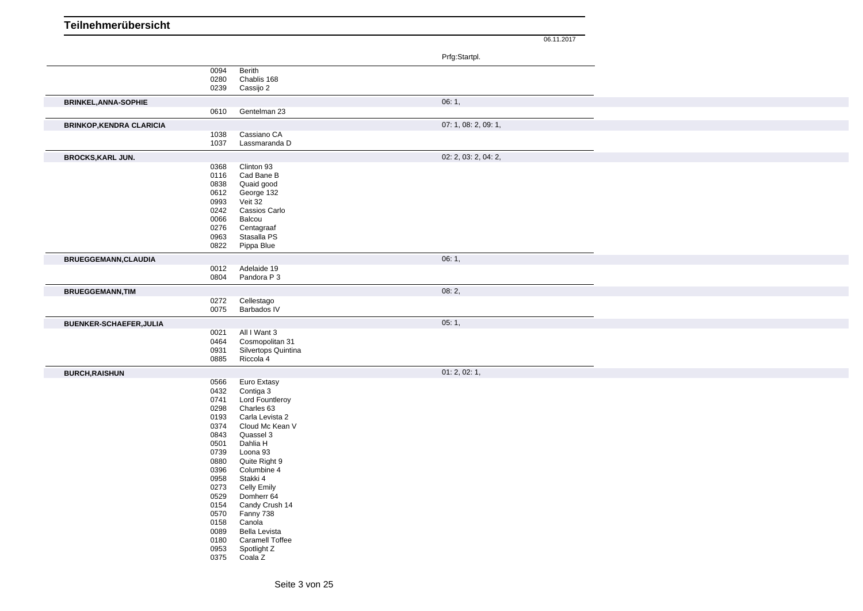| Teilnehmerübersicht             |              |                                  |                      |            |
|---------------------------------|--------------|----------------------------------|----------------------|------------|
|                                 |              |                                  |                      | 06.11.2017 |
|                                 |              |                                  | Prfg:Startpl.        |            |
|                                 | 0094         | Berith                           |                      |            |
|                                 | 0280<br>0239 | Chablis 168<br>Cassijo 2         |                      |            |
| <b>BRINKEL, ANNA-SOPHIE</b>     |              |                                  | 06:1,                |            |
|                                 | 0610         | Gentelman 23                     |                      |            |
| <b>BRINKOP, KENDRA CLARICIA</b> |              |                                  | 07: 1, 08: 2, 09: 1, |            |
|                                 | 1038<br>1037 | Cassiano CA<br>Lassmaranda D     |                      |            |
| <b>BROCKS, KARL JUN.</b>        |              |                                  | 02: 2, 03: 2, 04: 2, |            |
|                                 | 0368         | Clinton 93                       |                      |            |
|                                 | 0116         | Cad Bane B                       |                      |            |
|                                 | 0838<br>0612 | Quaid good<br>George 132         |                      |            |
|                                 | 0993         | Veit 32                          |                      |            |
|                                 | 0242         | Cassios Carlo                    |                      |            |
|                                 | 0066         | Balcou                           |                      |            |
|                                 | 0276<br>0963 | Centagraaf<br>Stasalla PS        |                      |            |
|                                 | 0822         | Pippa Blue                       |                      |            |
| <b>BRUEGGEMANN, CLAUDIA</b>     |              |                                  | 06:1,                |            |
|                                 | 0012         | Adelaide 19                      |                      |            |
|                                 | 0804         | Pandora P 3                      |                      |            |
| <b>BRUEGGEMANN, TIM</b>         |              |                                  | 08:2,                |            |
|                                 | 0272<br>0075 | Cellestago<br>Barbados IV        |                      |            |
| BUENKER-SCHAEFER, JULIA         |              |                                  | 05:1,                |            |
|                                 | 0021         | All I Want 3                     |                      |            |
|                                 | 0464         | Cosmopolitan 31                  |                      |            |
|                                 | 0931<br>0885 | Silvertops Quintina<br>Riccola 4 |                      |            |
|                                 |              |                                  |                      |            |
| <b>BURCH, RAISHUN</b>           | 0566         | Euro Extasy                      | 01: 2, 02: 1,        |            |
|                                 | 0432         | Contiga 3                        |                      |            |
|                                 | 0741         | Lord Fountleroy                  |                      |            |
|                                 | 0298<br>0193 | Charles 63<br>Carla Levista 2    |                      |            |
|                                 | 0374         | Cloud Mc Kean V                  |                      |            |
|                                 | 0843         | Quassel 3                        |                      |            |
|                                 | 0501         | Dahlia H                         |                      |            |
|                                 | 0739         | Loona 93                         |                      |            |
|                                 | 0880<br>0396 | Quite Right 9<br>Columbine 4     |                      |            |
|                                 | 0958         | Stakki 4                         |                      |            |
|                                 | 0273         | <b>Celly Emily</b>               |                      |            |
|                                 | 0529         | Domherr 64                       |                      |            |
|                                 | 0154<br>0570 | Candy Crush 14<br>Fanny 738      |                      |            |
|                                 | 0158         | Canola                           |                      |            |
|                                 | 0089         | Bella Levista                    |                      |            |
|                                 | 0180         | <b>Caramell Toffee</b>           |                      |            |
|                                 | 0953<br>0375 | Spotlight Z<br>Coala Z           |                      |            |
|                                 |              |                                  |                      |            |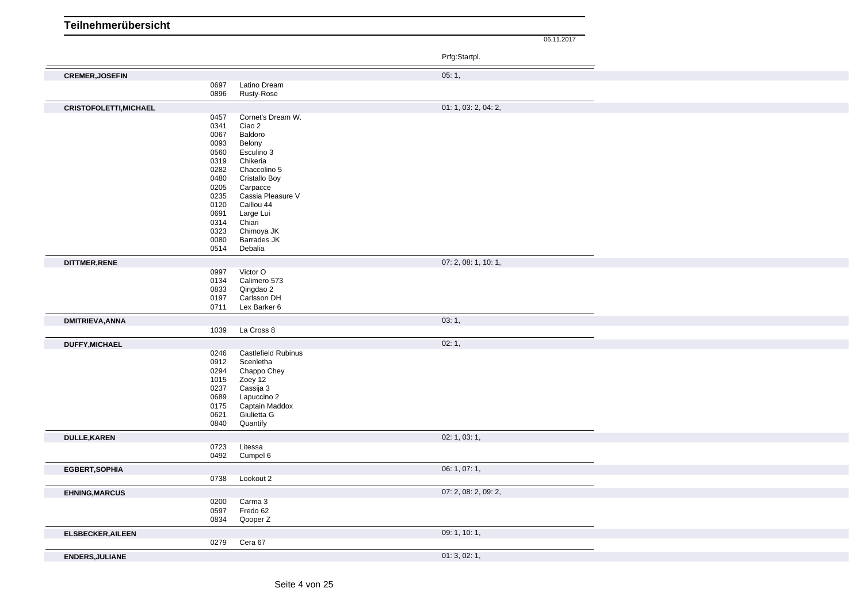06.11.2017

Prfg:Startpl.

|                                |                                      | Prig:Startpl.        |
|--------------------------------|--------------------------------------|----------------------|
| <b>CREMER, JOSEFIN</b>         |                                      | 05:1,                |
| 0697                           | Latino Dream                         |                      |
| 0896                           | Rusty-Rose                           |                      |
| <b>CRISTOFOLETTI, MICHAEL</b>  |                                      | 01: 1, 03: 2, 04: 2, |
| 0457                           | Cornet's Dream W.                    |                      |
| 0341<br>0067                   | Ciao 2<br>Baldoro                    |                      |
| 0093                           | Belony                               |                      |
| 0560                           | Esculino 3                           |                      |
| 0319                           | Chikeria                             |                      |
| 0282<br>0480                   | Chaccolino 5<br><b>Cristallo Boy</b> |                      |
| 0205                           | Carpacce                             |                      |
| 0235                           | Cassia Pleasure V                    |                      |
| 0120                           | Caillou 44                           |                      |
| 0691<br>0314                   | Large Lui<br>Chiari                  |                      |
| 0323                           | Chimoya JK                           |                      |
| 0080                           | Barrades JK                          |                      |
| 0514                           | Debalia                              |                      |
| DITTMER, RENE                  |                                      | 07: 2, 08: 1, 10: 1, |
| 0997                           | Victor O                             |                      |
| 0134<br>0833                   | Calimero 573<br>Qingdao 2            |                      |
| 0197                           | Carlsson DH                          |                      |
| 0711                           | Lex Barker 6                         |                      |
|                                |                                      |                      |
| <b>DMITRIEVA, ANNA</b>         |                                      | 03:1,                |
| 1039                           | La Cross 8                           |                      |
|                                |                                      | 02:1,                |
| <b>DUFFY, MICHAEL</b><br>0246  | <b>Castlefield Rubinus</b>           |                      |
| 0912                           | Scenletha                            |                      |
| 0294                           | Chappo Chey                          |                      |
| 1015                           | Zoey 12                              |                      |
| 0237<br>0689                   | Cassija 3<br>Lapuccino 2             |                      |
| 0175                           | Captain Maddox                       |                      |
| 0621                           | Giulietta G                          |                      |
| 0840                           | Quantify                             |                      |
| <b>DULLE,KAREN</b>             |                                      | 02: 1, 03: 1,        |
| 0723                           | Litessa                              |                      |
| 0492                           | Cumpel 6                             |                      |
| <b>EGBERT, SOPHIA</b>          |                                      | 06: 1, 07: 1,        |
| 0738                           | Lookout 2                            |                      |
| <b>EHNING, MARCUS</b>          |                                      | 07: 2, 08: 2, 09: 2, |
| 0200                           | Carma 3                              |                      |
| 0597                           | Fredo 62                             |                      |
| 0834                           | Qooper Z                             |                      |
| <b>ELSBECKER, AILEEN</b>       |                                      | 09: 1, 10: 1,        |
| 0279<br><b>ENDERS, JULIANE</b> | Cera 67                              | 01:3,02:1,           |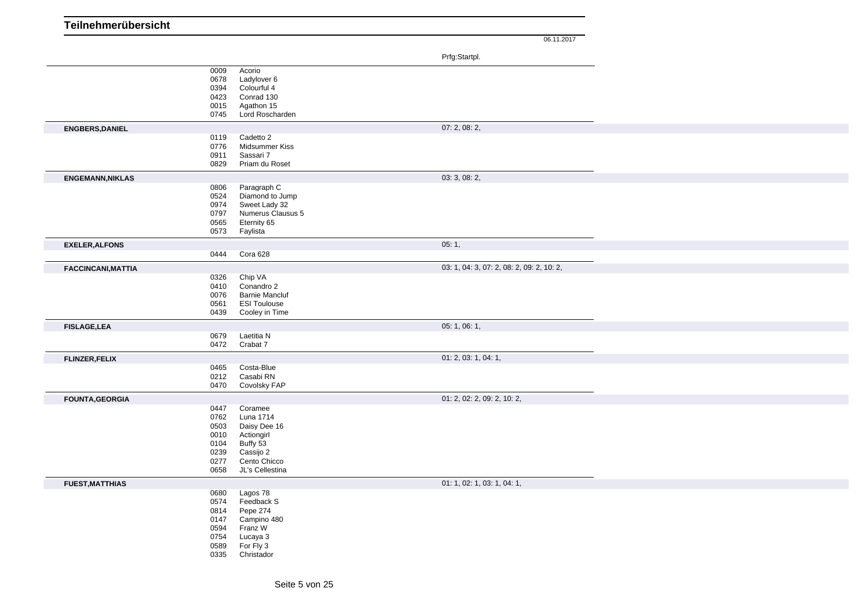| Teilnehmerübersicht       |              |                                              |       |                                           |
|---------------------------|--------------|----------------------------------------------|-------|-------------------------------------------|
|                           |              |                                              |       | 06.11.2017                                |
|                           |              |                                              |       |                                           |
|                           |              |                                              |       | Prfg:Startpl.                             |
|                           | 0009         | Acorio<br>Ladylover 6                        |       |                                           |
|                           | 0678<br>0394 | Colourful 4                                  |       |                                           |
|                           | 0423         | Conrad 130                                   |       |                                           |
|                           | 0015         | Agathon 15                                   |       |                                           |
|                           | 0745         | Lord Roscharden                              |       |                                           |
| <b>ENGBERS, DANIEL</b>    |              |                                              |       | 07: 2, 08: 2,                             |
|                           | 0119         | Cadetto 2                                    |       |                                           |
|                           | 0776         | Midsummer Kiss                               |       |                                           |
|                           | 0911<br>0829 | Sassari 7<br>Priam du Roset                  |       |                                           |
|                           |              |                                              |       |                                           |
| <b>ENGEMANN, NIKLAS</b>   | 0806         | Paragraph C                                  |       | 03: 3, 08: 2,                             |
|                           | 0524         | Diamond to Jump                              |       |                                           |
|                           | 0974         | Sweet Lady 32                                |       |                                           |
|                           | 0797         | Numerus Clausus 5                            |       |                                           |
|                           | 0565         | Eternity 65                                  |       |                                           |
|                           | 0573         | Faylista                                     |       |                                           |
| <b>EXELER, ALFONS</b>     |              |                                              | 05:1, |                                           |
|                           | 0444         | Cora 628                                     |       |                                           |
| <b>FACCINCANI, MATTIA</b> |              |                                              |       | 03: 1, 04: 3, 07: 2, 08: 2, 09: 2, 10: 2, |
|                           | 0326         | Chip VA                                      |       |                                           |
|                           | 0410         | Conandro 2                                   |       |                                           |
|                           | 0076<br>0561 | <b>Barnie Mancluf</b><br><b>ESI Toulouse</b> |       |                                           |
|                           | 0439         | Cooley in Time                               |       |                                           |
| <b>FISLAGE, LEA</b>       |              |                                              |       | 05: 1, 06: 1,                             |
|                           | 0679         | Laetitia N                                   |       |                                           |
|                           | 0472         | Crabat 7                                     |       |                                           |
| <b>FLINZER, FELIX</b>     |              |                                              |       | 01: 2, 03: 1, 04: 1,                      |
|                           | 0465         | Costa-Blue                                   |       |                                           |
|                           | 0212         | Casabi RN                                    |       |                                           |
|                           | 0470         | Covolsky FAP                                 |       |                                           |
| <b>FOUNTA, GEORGIA</b>    |              |                                              |       | 01: 2, 02: 2, 09: 2, 10: 2,               |
|                           | 0447         | Coramee                                      |       |                                           |
|                           | 0762         | Luna 1714                                    |       |                                           |
|                           | 0503<br>0010 | Daisy Dee 16<br>Actiongirl                   |       |                                           |
|                           | 0104         | Buffy 53                                     |       |                                           |
|                           | 0239         | Cassijo 2                                    |       |                                           |
|                           | 0277         | Cento Chicco                                 |       |                                           |
|                           | 0658         | JL's Cellestina                              |       |                                           |
| <b>FUEST, MATTHIAS</b>    |              |                                              |       | 01: 1, 02: 1, 03: 1, 04: 1,               |
|                           | 0680         | Lagos 78                                     |       |                                           |
|                           | 0574         | Feedback S                                   |       |                                           |
|                           | 0814         | Pepe 274<br>Campino 480                      |       |                                           |
|                           | 0147<br>0594 | Franz W                                      |       |                                           |
|                           | 0754         | Lucaya 3                                     |       |                                           |
|                           | 0589         | For Fly 3                                    |       |                                           |
|                           | 0335         | Christador                                   |       |                                           |
|                           |              |                                              |       |                                           |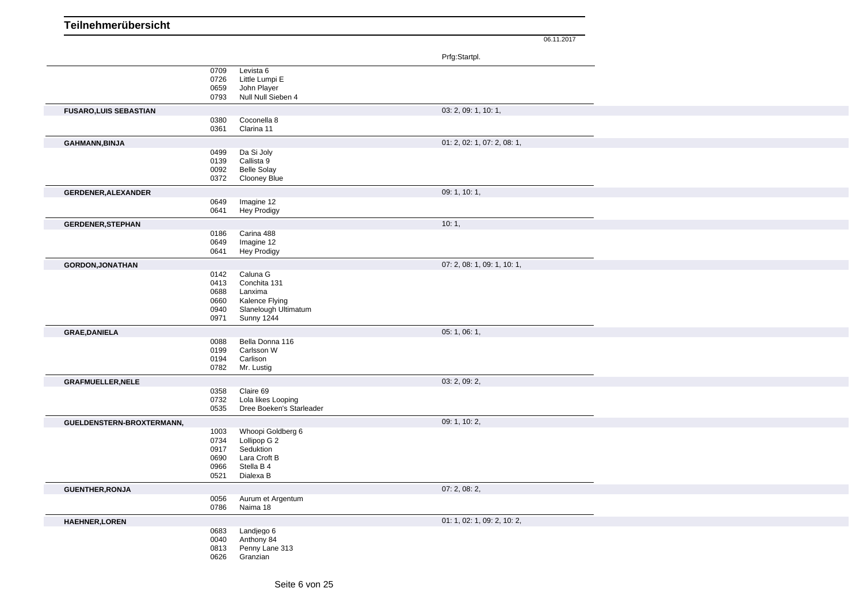|                              |                                              |                                                                                                    | Prfg:Startpl.               |  |
|------------------------------|----------------------------------------------|----------------------------------------------------------------------------------------------------|-----------------------------|--|
|                              | 0709<br>0726<br>0659<br>0793                 | Levista 6<br>Little Lumpi E<br>John Player<br>Null Null Sieben 4                                   |                             |  |
| <b>FUSARO,LUIS SEBASTIAN</b> |                                              |                                                                                                    | 03: 2, 09: 1, 10: 1,        |  |
|                              | 0380<br>0361                                 | Coconella 8<br>Clarina 11                                                                          |                             |  |
| <b>GAHMANN, BINJA</b>        |                                              |                                                                                                    | 01: 2, 02: 1, 07: 2, 08: 1, |  |
|                              | 0499<br>0139<br>0092<br>0372                 | Da Si Joly<br>Callista 9<br><b>Belle Solay</b><br><b>Clooney Blue</b>                              |                             |  |
| <b>GERDENER, ALEXANDER</b>   |                                              |                                                                                                    | 09: 1, 10: 1,               |  |
|                              | 0649<br>0641                                 | Imagine 12<br><b>Hey Prodigy</b>                                                                   |                             |  |
| <b>GERDENER, STEPHAN</b>     |                                              |                                                                                                    | 10:1,                       |  |
|                              | 0186<br>0649<br>0641                         | Carina 488<br>Imagine 12<br><b>Hey Prodigy</b>                                                     |                             |  |
| <b>GORDON, JONATHAN</b>      |                                              |                                                                                                    | 07: 2, 08: 1, 09: 1, 10: 1, |  |
|                              | 0142<br>0413<br>0688<br>0660<br>0940<br>0971 | Caluna G<br>Conchita 131<br>Lanxima<br>Kalence Flying<br>Slanelough Ultimatum<br><b>Sunny 1244</b> |                             |  |
| <b>GRAE, DANIELA</b>         |                                              |                                                                                                    | 05: 1, 06: 1,               |  |
|                              | 0088<br>0199<br>0194<br>0782                 | Bella Donna 116<br>Carlsson W<br>Carlison<br>Mr. Lustig                                            |                             |  |
| <b>GRAFMUELLER, NELE</b>     |                                              |                                                                                                    | 03: 2, 09: 2,               |  |
|                              | 0358<br>0732<br>0535                         | Claire 69<br>Lola likes Looping<br>Dree Boeken's Starleader                                        |                             |  |
| GUELDENSTERN-BROXTERMANN,    |                                              |                                                                                                    | 09:1, 10:2,                 |  |
|                              | 1003<br>0734<br>0917<br>0690<br>0966<br>0521 | Whoopi Goldberg 6<br>Lollipop G 2<br>Seduktion<br>Lara Croft B<br>Stella B 4<br>Dialexa B          |                             |  |
| <b>GUENTHER, RONJA</b>       |                                              |                                                                                                    | 07: 2, 08: 2,               |  |
|                              | 0056<br>0786                                 | Aurum et Argentum<br>Naima 18                                                                      |                             |  |
| <b>HAEHNER, LOREN</b>        |                                              |                                                                                                    | 01: 1, 02: 1, 09: 2, 10: 2, |  |
|                              | 0683<br>0040<br>0813<br>0626                 | Landjego 6<br>Anthony 84<br>Penny Lane 313<br>Granzian                                             |                             |  |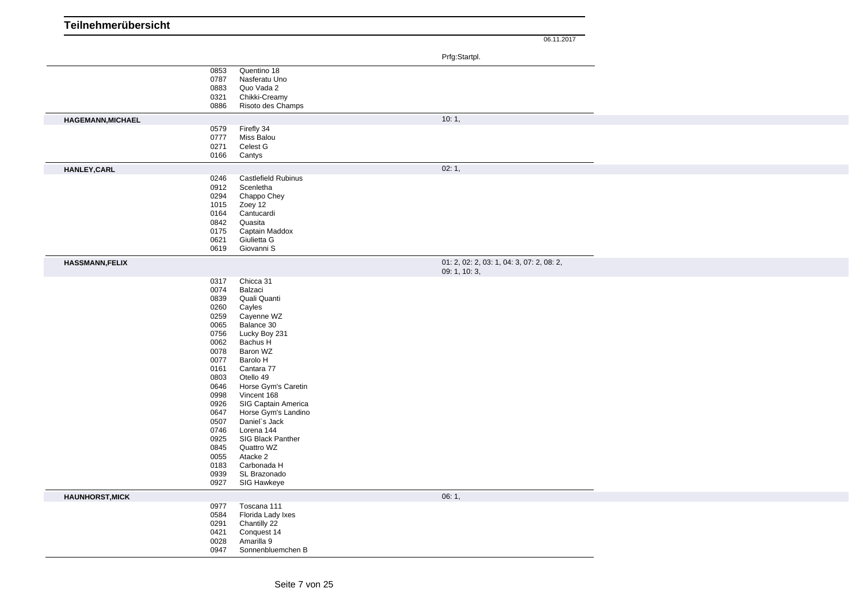| Teilnehmerübersicht      |              |                                    |                                           |
|--------------------------|--------------|------------------------------------|-------------------------------------------|
|                          |              |                                    | 06.11.2017                                |
|                          |              |                                    | Prfg:Startpl.                             |
|                          |              |                                    |                                           |
|                          | 0853<br>0787 | Quentino 18<br>Nasferatu Uno       |                                           |
|                          | 0883         | Quo Vada 2                         |                                           |
|                          | 0321         | Chikki-Creamy                      |                                           |
|                          | 0886         | Risoto des Champs                  |                                           |
| <b>HAGEMANN, MICHAEL</b> |              |                                    | 10:1,                                     |
|                          | 0579         | Firefly 34                         |                                           |
|                          | 0777<br>0271 | Miss Balou<br>Celest G             |                                           |
|                          | 0166         | Cantys                             |                                           |
| <b>HANLEY, CARL</b>      |              |                                    | 02:1,                                     |
|                          | 0246         | <b>Castlefield Rubinus</b>         |                                           |
|                          | 0912         | Scenletha                          |                                           |
|                          | 0294         | Chappo Chey                        |                                           |
|                          | 1015         | Zoey 12                            |                                           |
|                          | 0164<br>0842 | Cantucardi<br>Quasita              |                                           |
|                          | 0175         | Captain Maddox                     |                                           |
|                          | 0621         | Giulietta G                        |                                           |
|                          | 0619         | Giovanni S                         |                                           |
| <b>HASSMANN,FELIX</b>    |              |                                    | 01: 2, 02: 2, 03: 1, 04: 3, 07: 2, 08: 2, |
|                          |              |                                    | 09: 1, 10: 3,                             |
|                          | 0317         | Chicca 31                          |                                           |
|                          | 0074<br>0839 | Balzaci<br>Quali Quanti            |                                           |
|                          | 0260         | Cayles                             |                                           |
|                          | 0259         | Cayenne WZ                         |                                           |
|                          | 0065         | Balance 30                         |                                           |
|                          | 0756<br>0062 | Lucky Boy 231<br>Bachus H          |                                           |
|                          | 0078         | Baron WZ                           |                                           |
|                          | 0077         | Barolo H                           |                                           |
|                          | 0161         | Cantara 77                         |                                           |
|                          | 0803         | Otello 49                          |                                           |
|                          | 0646<br>0998 | Horse Gym's Caretin<br>Vincent 168 |                                           |
|                          | 0926         | SIG Captain America                |                                           |
|                          | 0647         | Horse Gym's Landino                |                                           |
|                          | 0507         | Daniel's Jack                      |                                           |
|                          | 0746         | Lorena 144                         |                                           |
|                          | 0925<br>0845 | SIG Black Panther<br>Quattro WZ    |                                           |
|                          | 0055         | Atacke 2                           |                                           |
|                          | 0183         | Carbonada H                        |                                           |
|                          | 0939         | SL Brazonado                       |                                           |
|                          | 0927         | SIG Hawkeye                        |                                           |
| <b>HAUNHORST, MICK</b>   |              |                                    | 06:1,                                     |
|                          | 0977         | Toscana 111                        |                                           |
|                          | 0584<br>0291 | Florida Lady Ixes<br>Chantilly 22  |                                           |
|                          | 0421         | Conquest 14                        |                                           |
|                          | 0028         | Amarilla 9                         |                                           |
|                          | 0947         | Sonnenbluemchen B                  |                                           |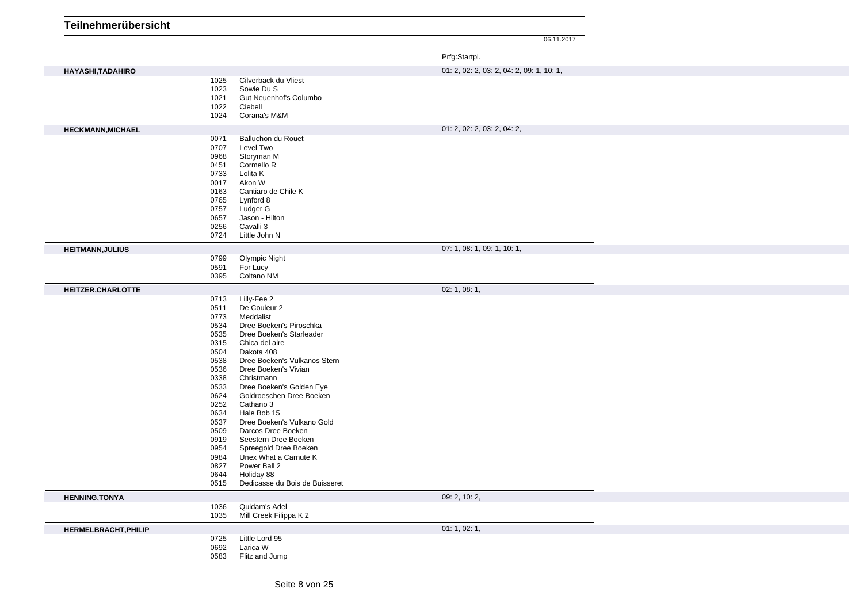| Teilnehmerübersicht         |              |                                                      |                                           |
|-----------------------------|--------------|------------------------------------------------------|-------------------------------------------|
|                             |              |                                                      | 06.11.2017                                |
|                             |              |                                                      | Prfg:Startpl.                             |
| HAYASHI, TADAHIRO           |              |                                                      | 01: 2, 02: 2, 03: 2, 04: 2, 09: 1, 10: 1, |
|                             | 1025         | Cilverback du Vliest                                 |                                           |
|                             | 1023<br>1021 | Sowie Du S<br>Gut Neuenhof's Columbo                 |                                           |
|                             | 1022         | Ciebell                                              |                                           |
|                             | 1024         | Corana's M&M                                         |                                           |
| <b>HECKMANN, MICHAEL</b>    |              |                                                      | 01: 2, 02: 2, 03: 2, 04: 2,               |
|                             | 0071<br>0707 | Balluchon du Rouet<br>Level Two                      |                                           |
|                             | 0968         | Storyman M                                           |                                           |
|                             | 0451         | Cormello R                                           |                                           |
|                             | 0733<br>0017 | Lolita K<br>Akon W                                   |                                           |
|                             | 0163         | Cantiaro de Chile K                                  |                                           |
|                             | 0765         | Lynford 8                                            |                                           |
|                             | 0757<br>0657 | Ludger G<br>Jason - Hilton                           |                                           |
|                             | 0256         | Cavalli 3                                            |                                           |
|                             | 0724         | Little John N                                        |                                           |
| <b>HEITMANN, JULIUS</b>     |              |                                                      | 07: 1, 08: 1, 09: 1, 10: 1,               |
|                             | 0799         | <b>Olympic Night</b>                                 |                                           |
|                             | 0591<br>0395 | For Lucy<br>Coltano NM                               |                                           |
| HEITZER, CHARLOTTE          |              |                                                      | 02: 1, 08: 1,                             |
|                             | 0713         | Lilly-Fee 2                                          |                                           |
|                             | 0511         | De Couleur 2                                         |                                           |
|                             | 0773<br>0534 | Meddalist<br>Dree Boeken's Piroschka                 |                                           |
|                             | 0535         | Dree Boeken's Starleader                             |                                           |
|                             | 0315         | Chica del aire                                       |                                           |
|                             | 0504<br>0538 | Dakota 408<br>Dree Boeken's Vulkanos Stern           |                                           |
|                             | 0536         | Dree Boeken's Vivian                                 |                                           |
|                             | 0338         | Christmann                                           |                                           |
|                             | 0533<br>0624 | Dree Boeken's Golden Eye<br>Goldroeschen Dree Boeken |                                           |
|                             | 0252         | Cathano 3                                            |                                           |
|                             | 0634         | Hale Bob 15                                          |                                           |
|                             | 0537         | Dree Boeken's Vulkano Gold                           |                                           |
|                             | 0509<br>0919 | Darcos Dree Boeken<br>Seestern Dree Boeken           |                                           |
|                             | 0954         | Spreegold Dree Boeken                                |                                           |
|                             | 0984         | Unex What a Carnute K                                |                                           |
|                             | 0827<br>0644 | Power Ball 2<br>Holiday 88                           |                                           |
|                             | 0515         | Dedicasse du Bois de Buisseret                       |                                           |
| <b>HENNING, TONYA</b>       |              |                                                      | 09: 2, 10: 2,                             |
|                             | 1036         | Quidam's Adel                                        |                                           |
|                             | 1035         | Mill Creek Filippa K 2                               |                                           |
| <b>HERMELBRACHT, PHILIP</b> |              |                                                      | 01: 1, 02: 1,                             |
|                             | 0725<br>0692 | Little Lord 95<br>Larica W                           |                                           |
|                             | 0583         | Flitz and Jump                                       |                                           |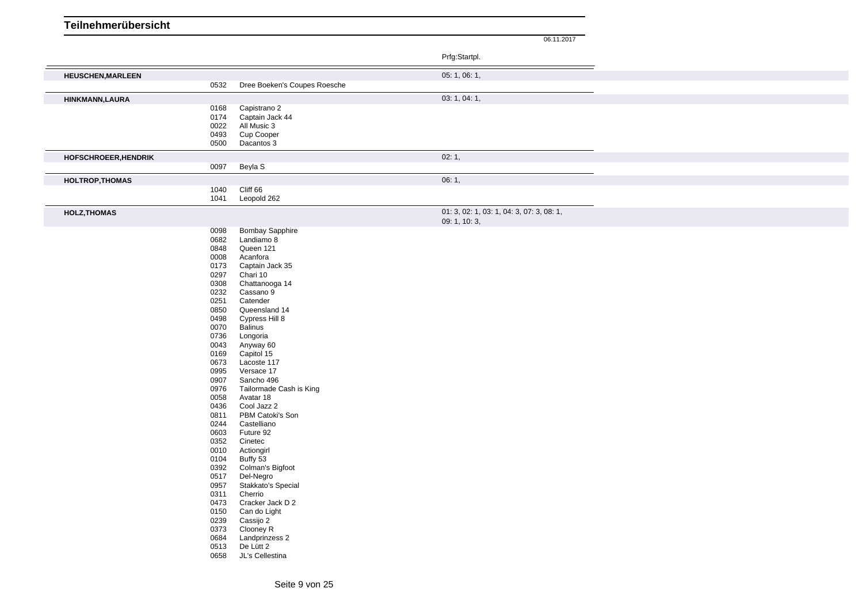|                          |              |                                 | Prfg:Startpl.                             |  |
|--------------------------|--------------|---------------------------------|-------------------------------------------|--|
| <b>HEUSCHEN, MARLEEN</b> |              |                                 | 05: 1, 06: 1,                             |  |
|                          | 0532         | Dree Boeken's Coupes Roesche    |                                           |  |
| HINKMANN, LAURA          |              |                                 | 03: 1, 04: 1,                             |  |
|                          | 0168<br>0174 | Capistrano 2                    |                                           |  |
|                          | 0022         | Captain Jack 44<br>All Music 3  |                                           |  |
|                          | 0493         | Cup Cooper                      |                                           |  |
|                          | 0500         | Dacantos 3                      |                                           |  |
| HOFSCHROEER, HENDRIK     |              |                                 | 02:1,                                     |  |
|                          | 0097         | Beyla S                         |                                           |  |
| <b>HOLTROP, THOMAS</b>   |              |                                 | 06:1,                                     |  |
|                          | 1040<br>1041 | Cliff 66<br>Leopold 262         |                                           |  |
|                          |              |                                 | 01: 3, 02: 1, 03: 1, 04: 3, 07: 3, 08: 1, |  |
| <b>HOLZ, THOMAS</b>      |              |                                 | 09: 1, 10: 3,                             |  |
|                          | 0098         | <b>Bombay Sapphire</b>          |                                           |  |
|                          | 0682<br>0848 | Landiamo 8<br>Queen 121         |                                           |  |
|                          | 0008         | Acanfora                        |                                           |  |
|                          | 0173         | Captain Jack 35                 |                                           |  |
|                          | 0297         | Chari 10                        |                                           |  |
|                          | 0308<br>0232 | Chattanooga 14<br>Cassano 9     |                                           |  |
|                          | 0251         | Catender                        |                                           |  |
|                          | 0850         | Queensland 14                   |                                           |  |
|                          | 0498         | Cypress Hill 8                  |                                           |  |
|                          | 0070         | <b>Balinus</b>                  |                                           |  |
|                          | 0736         | Longoria                        |                                           |  |
|                          | 0043<br>0169 | Anyway 60<br>Capitol 15         |                                           |  |
|                          | 0673         | Lacoste 117                     |                                           |  |
|                          | 0995         | Versace 17                      |                                           |  |
|                          | 0907         | Sancho 496                      |                                           |  |
|                          | 0976         | Tailormade Cash is King         |                                           |  |
|                          | 0058         | Avatar 18                       |                                           |  |
|                          | 0436         | Cool Jazz 2                     |                                           |  |
|                          | 0811<br>0244 | PBM Catoki's Son<br>Castelliano |                                           |  |
|                          | 0603         | Future 92                       |                                           |  |
|                          | 0352         | Cinetec                         |                                           |  |
|                          | 0010         | Actiongirl                      |                                           |  |
|                          | 0104         | Buffy 53                        |                                           |  |
|                          | 0392<br>0517 | Colman's Bigfoot<br>Del-Negro   |                                           |  |
|                          | 0957         | Stakkato's Special              |                                           |  |
|                          | 0311         | Cherrio                         |                                           |  |
|                          | 0473         | Cracker Jack D 2                |                                           |  |
|                          | 0150         | Can do Light                    |                                           |  |
|                          | 0239         | Cassijo 2                       |                                           |  |
|                          | 0373<br>0684 | Clooney R<br>Landprinzess 2     |                                           |  |
|                          | 0513         | De Lütt 2                       |                                           |  |
|                          | 0658         | JL's Cellestina                 |                                           |  |
|                          |              |                                 |                                           |  |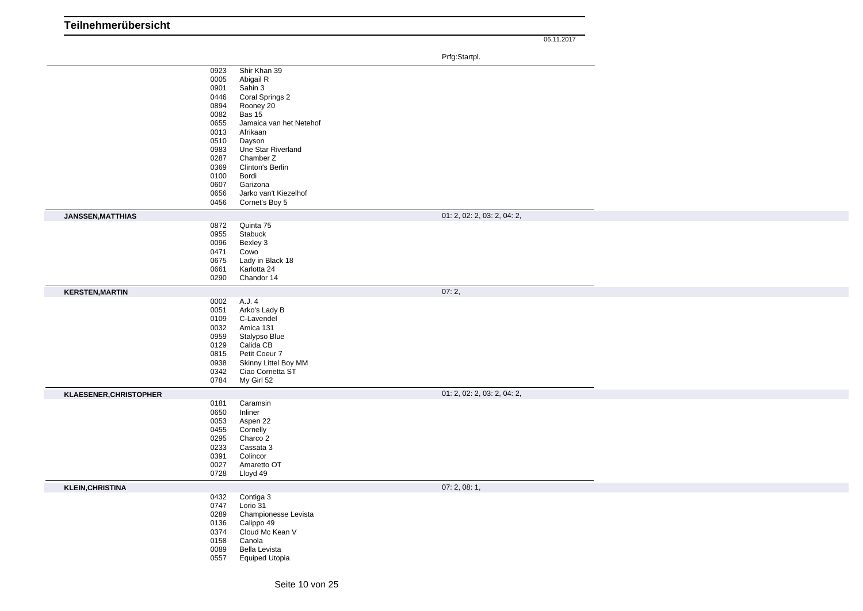|                         |                                                                                                                                                                                                                                                                                                                                                                                               | Prfg:Startpl.               |  |
|-------------------------|-----------------------------------------------------------------------------------------------------------------------------------------------------------------------------------------------------------------------------------------------------------------------------------------------------------------------------------------------------------------------------------------------|-----------------------------|--|
|                         | Shir Khan 39<br>0923<br>0005<br>Abigail R<br>0901<br>Sahin 3<br>0446<br>Coral Springs 2<br>0894<br>Rooney 20<br>0082<br><b>Bas 15</b><br>0655<br>Jamaica van het Netehof<br>0013<br>Afrikaan<br>0510<br>Dayson<br>0983<br>Une Star Riverland<br>0287<br>Chamber Z<br>0369<br>Clinton's Berlin<br>0100<br>Bordi<br>0607<br>Garizona<br>Jarko van't Kiezelhof<br>0656<br>Cornet's Boy 5<br>0456 |                             |  |
| JANSSEN, MATTHIAS       |                                                                                                                                                                                                                                                                                                                                                                                               | 01: 2, 02: 2, 03: 2, 04: 2, |  |
|                         | 0872<br>Quinta 75<br>0955<br>Stabuck<br>0096<br>Bexley 3<br>0471<br>Cowo<br>0675<br>Lady in Black 18<br>0661<br>Karlotta 24<br>0290<br>Chandor 14                                                                                                                                                                                                                                             |                             |  |
| <b>KERSTEN, MARTIN</b>  |                                                                                                                                                                                                                                                                                                                                                                                               | 07:2,                       |  |
|                         | 0002<br>A.J. 4<br>0051<br>Arko's Lady B<br>C-Lavendel<br>0109<br>0032<br>Amica 131<br>0959<br>Stalypso Blue<br>Calida CB<br>0129<br>Petit Coeur 7<br>0815<br>Skinny Littel Boy MM<br>0938<br>Ciao Cornetta ST<br>0342<br>My Girl 52<br>0784                                                                                                                                                   |                             |  |
| KLAESENER, CHRISTOPHER  |                                                                                                                                                                                                                                                                                                                                                                                               | 01: 2, 02: 2, 03: 2, 04: 2, |  |
|                         | Caramsin<br>0181<br>0650<br>Inliner<br>0053<br>Aspen 22<br>0455<br>Cornelly<br>0295<br>Charco 2<br>0233<br>Cassata 3<br>0391<br>Colincor<br>Amaretto OT<br>0027<br>0728<br>Lloyd 49                                                                                                                                                                                                           |                             |  |
| <b>KLEIN, CHRISTINA</b> |                                                                                                                                                                                                                                                                                                                                                                                               | 07:2,08:1,                  |  |
|                         | 0432<br>Contiga 3<br>0747<br>Lorio 31<br>0289<br>Championesse Levista<br>0136<br>Calippo 49<br>0374<br>Cloud Mc Kean V<br>0158<br>Canola<br>0089<br>Bella Levista<br>0557<br><b>Equiped Utopia</b>                                                                                                                                                                                            |                             |  |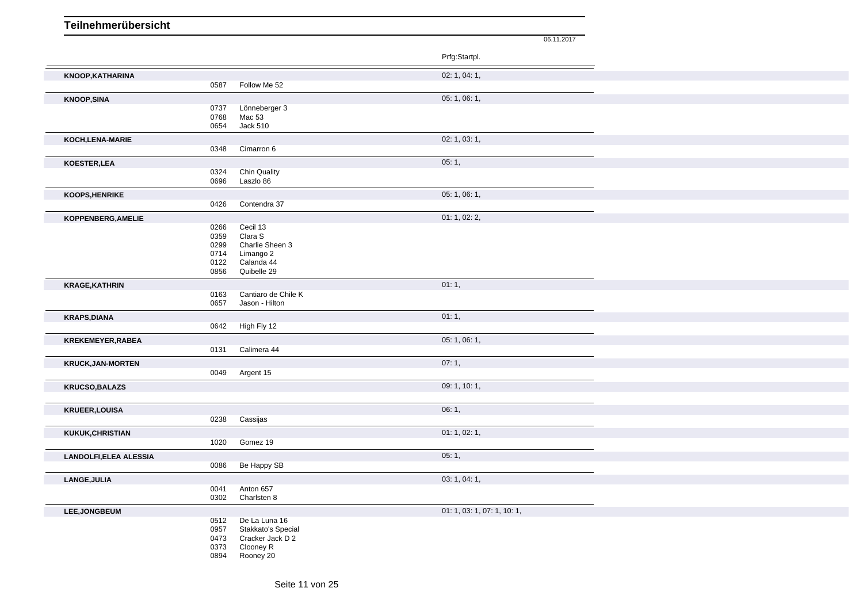| Teilnehmerübersicht          |              |                            |                             |            |
|------------------------------|--------------|----------------------------|-----------------------------|------------|
|                              |              |                            |                             | 06.11.2017 |
|                              |              |                            | Prfg:Startpl.               |            |
|                              |              |                            |                             |            |
| KNOOP, KATHARINA             | 0587         | Follow Me 52               | 02: 1, 04: 1,               |            |
|                              |              |                            |                             |            |
| <b>KNOOP, SINA</b>           | 0737         | Lönneberger 3              | 05: 1, 06: 1,               |            |
|                              | 0768         | Mac 53                     |                             |            |
|                              | 0654         | <b>Jack 510</b>            |                             |            |
| KOCH, LENA-MARIE             |              |                            | 02: 1, 03: 1,               |            |
|                              | 0348         | Cimarron 6                 |                             |            |
| KOESTER, LEA                 |              |                            | 05:1,                       |            |
|                              | 0324         | <b>Chin Quality</b>        |                             |            |
|                              | 0696         | Laszlo 86                  |                             |            |
| <b>KOOPS, HENRIKE</b>        |              |                            | 05:1,06:1,                  |            |
|                              | 0426         | Contendra 37               |                             |            |
| KOPPENBERG, AMELIE           |              |                            | 01: 1, 02: 2,               |            |
|                              | 0266         | Cecil 13                   |                             |            |
|                              | 0359<br>0299 | Clara S<br>Charlie Sheen 3 |                             |            |
|                              | 0714         | Limango 2                  |                             |            |
|                              | 0122         | Calanda 44                 |                             |            |
|                              | 0856         | Quibelle 29                |                             |            |
| <b>KRAGE, KATHRIN</b>        |              |                            | 01:1,                       |            |
|                              | 0163         | Cantiaro de Chile K        |                             |            |
|                              | 0657         | Jason - Hilton             |                             |            |
| <b>KRAPS, DIANA</b>          |              |                            | 01:1,                       |            |
|                              | 0642         | High Fly 12                |                             |            |
| KREKEMEYER, RABEA            |              |                            | 05: 1, 06: 1,               |            |
|                              | 0131         | Calimera 44                |                             |            |
| <b>KRUCK, JAN-MORTEN</b>     |              |                            | 07:1,                       |            |
|                              | 0049         | Argent 15                  |                             |            |
| <b>KRUCSO, BALAZS</b>        |              |                            | 09: 1, 10: 1,               |            |
|                              |              |                            |                             |            |
| <b>KRUEER, LOUISA</b>        |              |                            | 06:1,                       |            |
|                              | 0238         | Cassijas                   |                             |            |
| <b>KUKUK, CHRISTIAN</b>      |              |                            | 01: 1, 02: 1,               |            |
|                              | 1020         | Gomez 19                   |                             |            |
| <b>LANDOLFI,ELEA ALESSIA</b> |              |                            | 05:1,                       |            |
|                              | 0086         | Be Happy SB                |                             |            |
|                              |              |                            | 03: 1, 04: 1,               |            |
| LANGE, JULIA                 | 0041         | Anton 657                  |                             |            |
|                              | 0302         | Charlsten 8                |                             |            |
| LEE, JONGBEUM                |              |                            | 01: 1, 03: 1, 07: 1, 10: 1, |            |
|                              | 0512         | De La Luna 16              |                             |            |
|                              | 0957         | Stakkato's Special         |                             |            |
|                              | 0473         | Cracker Jack D 2           |                             |            |
|                              | 0373         | Clooney R                  |                             |            |
|                              | 0894         | Rooney 20                  |                             |            |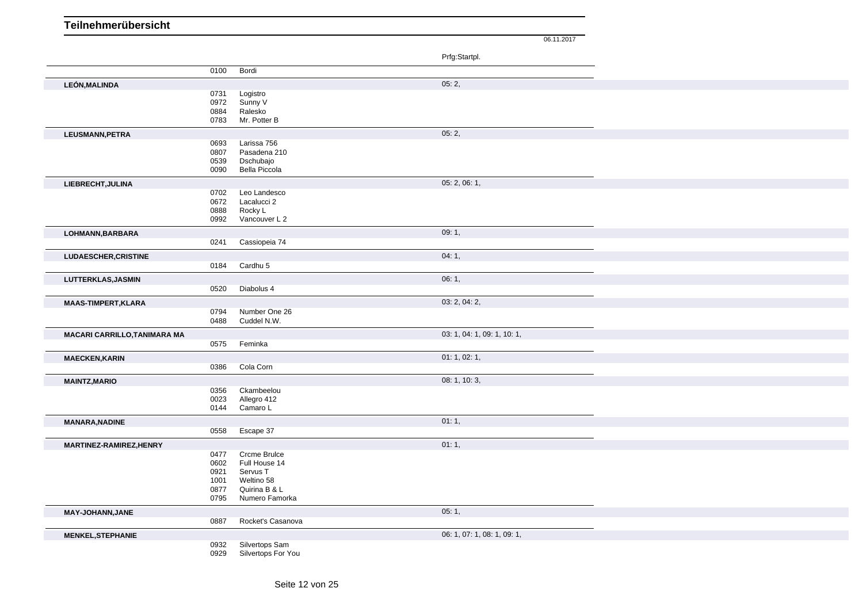06.11.2017 Prfg:Startpl. 0100 Bordi **LEÓN,MALINDA** 05: 2, 0731 Logistro 0972 Sunny V 0884 Ralesko 0783 Mr. Potter B **LEUSMANN,PETRA** 05: 2, 0693 Larissa 756 0807 Pasadena 210 0539 Dschubajo<br>0090 Bella Picco Bella Piccola **LIEBRECHT,JULINA** 05: 2, 06: 1, 0702 Leo Landesco 0672 Lacalucci 2 0888 Rocky L 0992 Vancouver L 2 **LOHMANN,BARBARA** 09: 1, 0241 Cassiopeia 74 **LUDAESCHER,CRISTINE** 04: 1, 04: 1, 04: 1, 04: 1, 04: 1, 04: 1, 04: 1, 04: 1, 04: 1, 04: 1, 04: 1, 04: 1, 04: 1, 04: 1, 04: 1, 04: 1, 04: 1, 04: 1, 04: 1, 04: 1, 04: 1, 04: 1, 04: 1, 04: 1, 04: 1, 04: 1, 04: 1, 04: 1, 04: 0184 Cardhu 5 **LUTTERKLAS,JASMIN** 06: 1, 0520 Diabolus 4 **MAAS-TIMPERT,KLARA** 03: 2, 04: 2, 04: 2, 04: 2, 04: 2, 04: 2, 04: 2, 04: 2, 04: 2, 04: 2, 04: 2, 04: 2, 04: 2, 04: 2, 04: 2, 04: 2, 04: 2, 04: 2, 05: 0794 Number One 26 0488 Cuddel N.W. **MACARI CARRILLO,TANIMARA MA 12: 1, 10: 1, 10: 1, 10: 1, 10: 1, 10: 1, 10: 1, 10: 1, 10: 1, 10: 1, 10: 1, 10: 1, 10: 1, 10: 1, 10: 1, 10: 1, 10: 1, 10: 1, 10: 1, 10: 1, 10: 1, 10: 1, 10: 1, 10: 1, 10: 1, 10: 1, 10: 1, 10** 0575 Feminka **MAECKEN,KARIN** 01: 1, 02: 1, 0386 Cola Corn **MAINTZ,MARIO** 08: 1, 10: 3, 0356 Ckambeelou 0023 Allegro 412 0144 Camaro L **MANARA,NADINE** 01: 1, 0558 Escape 37 **MARTINEZ-RAMIREZ,HENRY** 01: 1, 0477 Crcme Brulce 0602 Full House 14 0921 Servus T 1001 Weltino 58 Quirina B & L 0795 Numero Famorka **MAY-JOHANN,JANE** 05: 1, 0887 Rocket's Casanova **MENKEL,STEPHANIE** 06: 1, 07: 1, 08: 1, 09: 1, 0932 Silvertops Sam 0929 Silvertops For You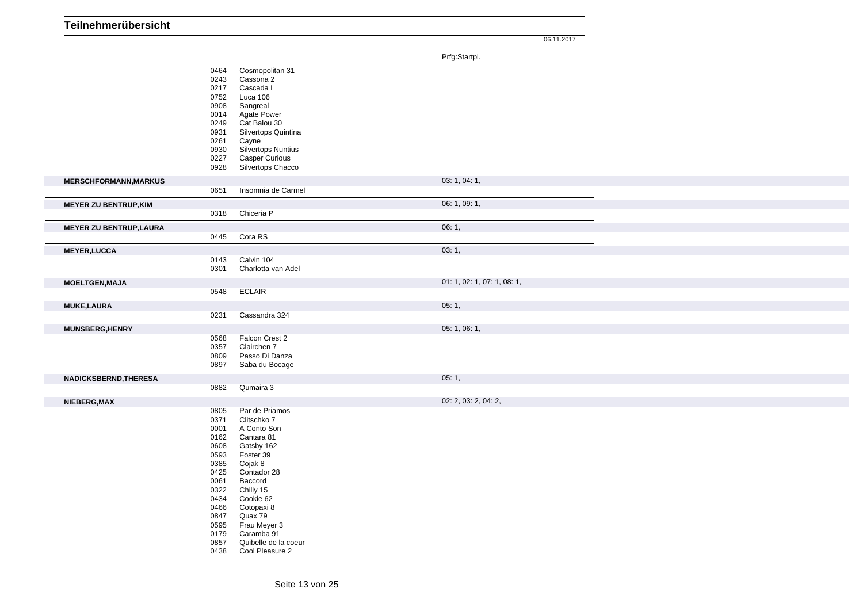|                                |      |                       | Prfg:Startpl.               |  |
|--------------------------------|------|-----------------------|-----------------------------|--|
|                                | 0464 | Cosmopolitan 31       |                             |  |
|                                | 0243 | Cassona 2             |                             |  |
|                                | 0217 | Cascada L             |                             |  |
|                                | 0752 | Luca 106              |                             |  |
|                                | 0908 | Sangreal              |                             |  |
|                                | 0014 | <b>Agate Power</b>    |                             |  |
|                                | 0249 | Cat Balou 30          |                             |  |
|                                | 0931 | Silvertops Quintina   |                             |  |
|                                | 0261 | Cayne                 |                             |  |
|                                | 0930 | Silvertops Nuntius    |                             |  |
|                                | 0227 | <b>Casper Curious</b> |                             |  |
|                                | 0928 | Silvertops Chacco     |                             |  |
| <b>MERSCHFORMANN, MARKUS</b>   |      |                       | 03: 1, 04: 1,               |  |
|                                | 0651 | Insomnia de Carmel    |                             |  |
|                                |      |                       |                             |  |
| <b>MEYER ZU BENTRUP, KIM</b>   |      |                       | 06: 1, 09: 1,               |  |
|                                | 0318 | Chiceria P            |                             |  |
| <b>MEYER ZU BENTRUP, LAURA</b> |      |                       | 06:1,                       |  |
|                                | 0445 | Cora RS               |                             |  |
| <b>MEYER, LUCCA</b>            |      |                       | 03:1,                       |  |
|                                | 0143 | Calvin 104            |                             |  |
|                                | 0301 | Charlotta van Adel    |                             |  |
|                                |      |                       |                             |  |
| <b>MOELTGEN, MAJA</b>          |      |                       | 01: 1, 02: 1, 07: 1, 08: 1, |  |
|                                | 0548 | <b>ECLAIR</b>         |                             |  |
| <b>MUKE,LAURA</b>              |      |                       | 05:1,                       |  |
|                                | 0231 | Cassandra 324         |                             |  |
|                                |      |                       |                             |  |
| <b>MUNSBERG, HENRY</b>         |      |                       | 05: 1, 06: 1,               |  |
|                                | 0568 | Falcon Crest 2        |                             |  |
|                                | 0357 | Clairchen 7           |                             |  |
|                                | 0809 | Passo Di Danza        |                             |  |
|                                | 0897 | Saba du Bocage        |                             |  |
| NADICKSBERND, THERESA          |      |                       | 05:1,                       |  |
|                                | 0882 | Qumaira 3             |                             |  |
| NIEBERG, MAX                   |      |                       | 02: 2, 03: 2, 04: 2,        |  |
|                                | 0805 | Par de Priamos        |                             |  |
|                                | 0371 | Clitschko 7           |                             |  |
|                                | 0001 | A Conto Son           |                             |  |
|                                | 0162 | Cantara 81            |                             |  |
|                                | 0608 | Gatsby 162            |                             |  |
|                                | 0593 | Foster 39             |                             |  |
|                                | 0385 | Cojak 8               |                             |  |
|                                | 0425 | Contador 28           |                             |  |
|                                | 0061 | Baccord               |                             |  |
|                                | 0322 | Chilly 15             |                             |  |
|                                | 0434 | Cookie 62             |                             |  |
|                                | 0466 | Cotopaxi 8            |                             |  |
|                                | 0847 | Quax 79               |                             |  |
|                                | 0595 | Frau Meyer 3          |                             |  |
|                                | 0179 | Caramba 91            |                             |  |
|                                | 0857 | Quibelle de la coeur  |                             |  |
|                                | 0438 | Cool Pleasure 2       |                             |  |
|                                |      |                       |                             |  |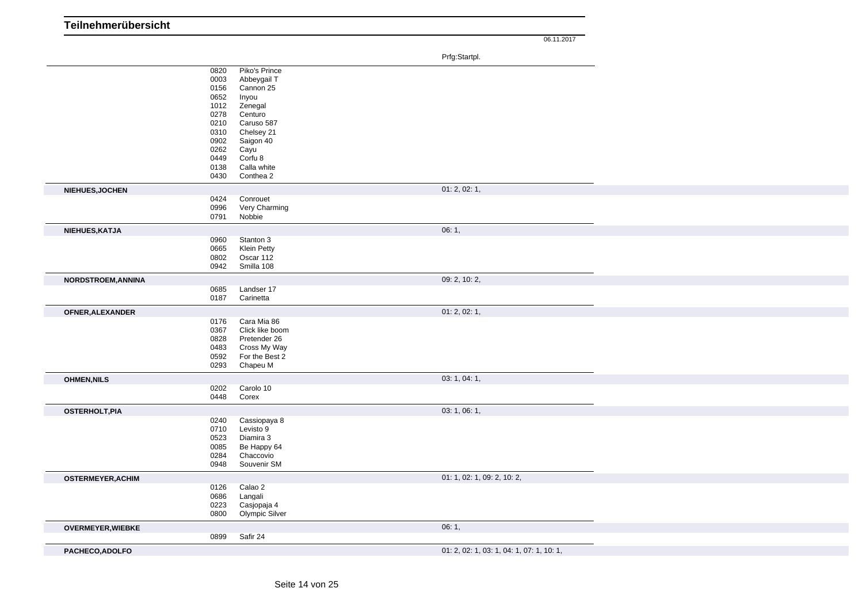| Teilnehmerübersicht      |              |                                 |                                           |
|--------------------------|--------------|---------------------------------|-------------------------------------------|
|                          |              |                                 | 06.11.2017                                |
|                          |              |                                 |                                           |
|                          |              |                                 | Prfg:Startpl.                             |
|                          | 0820<br>0003 | Piko's Prince<br>Abbeygail T    |                                           |
|                          | 0156         | Cannon 25                       |                                           |
|                          | 0652         | Inyou                           |                                           |
|                          | 1012         | Zenegal                         |                                           |
|                          | 0278<br>0210 | Centuro<br>Caruso 587           |                                           |
|                          | 0310         | Chelsey 21                      |                                           |
|                          | 0902         | Saigon 40                       |                                           |
|                          | 0262         | Cayu                            |                                           |
|                          | 0449<br>0138 | Corfu 8<br>Calla white          |                                           |
|                          | 0430         | Conthea 2                       |                                           |
| NIEHUES, JOCHEN          |              |                                 | 01: 2, 02: 1,                             |
|                          | 0424         | Conrouet                        |                                           |
|                          | 0996         | Very Charming                   |                                           |
|                          | 0791         | Nobbie                          |                                           |
| NIEHUES, KATJA           |              |                                 | 06:1,                                     |
|                          | 0960         | Stanton 3                       |                                           |
|                          | 0665<br>0802 | <b>Klein Petty</b><br>Oscar 112 |                                           |
|                          | 0942         | Smilla 108                      |                                           |
| NORDSTROEM, ANNINA       |              |                                 | 09: 2, 10: 2,                             |
|                          | 0685         | Landser 17                      |                                           |
|                          | 0187         | Carinetta                       |                                           |
| OFNER, ALEXANDER         |              |                                 | 01: 2, 02: 1,                             |
|                          | 0176         | Cara Mia 86                     |                                           |
|                          | 0367<br>0828 | Click like boom<br>Pretender 26 |                                           |
|                          | 0483         | Cross My Way                    |                                           |
|                          | 0592         | For the Best 2                  |                                           |
|                          | 0293         | Chapeu M                        |                                           |
| <b>OHMEN, NILS</b>       |              |                                 | 03: 1, 04: 1,                             |
|                          | 0202         | Carolo 10                       |                                           |
|                          | 0448         | Corex                           |                                           |
| <b>OSTERHOLT, PIA</b>    |              |                                 | 03: 1, 06: 1,                             |
|                          | 0240<br>0710 | Cassiopaya 8<br>Levisto 9       |                                           |
|                          | 0523         | Diamira 3                       |                                           |
|                          | 0085         | Be Happy 64                     |                                           |
|                          | 0284         | Chaccovio                       |                                           |
|                          | 0948         | Souvenir SM                     |                                           |
| <b>OSTERMEYER, ACHIM</b> |              |                                 | 01: 1, 02: 1, 09: 2, 10: 2,               |
|                          | 0126<br>0686 | Calao 2<br>Langali              |                                           |
|                          | 0223         | Casjopaja 4                     |                                           |
|                          | 0800         | Olympic Silver                  |                                           |
| <b>OVERMEYER, WIEBKE</b> |              |                                 | 06:1,                                     |
|                          | 0899         | Safir 24                        |                                           |
| PACHECO, ADOLFO          |              |                                 | 01: 2, 02: 1, 03: 1, 04: 1, 07: 1, 10: 1, |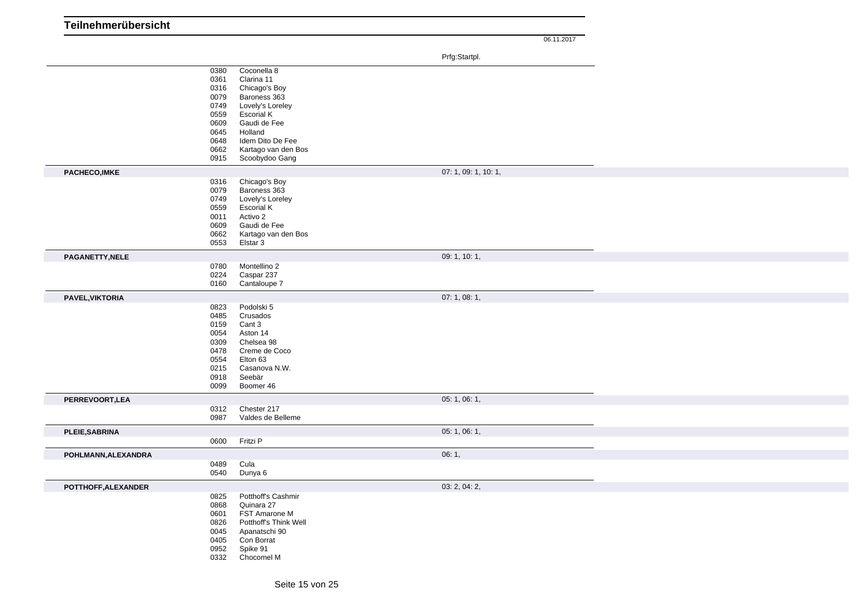| Teilnehmerübersicht |              |                                  |       |                      |
|---------------------|--------------|----------------------------------|-------|----------------------|
|                     |              |                                  |       | 06.11.2017           |
|                     |              |                                  |       |                      |
|                     |              |                                  |       | Prfg:Startpl.        |
|                     | 0380<br>0361 | Coconella 8<br>Clarina 11        |       |                      |
|                     | 0316         | Chicago's Boy                    |       |                      |
|                     | 0079         | Baroness 363                     |       |                      |
|                     | 0749         | Lovely's Loreley                 |       |                      |
|                     | 0559         | <b>Escorial K</b>                |       |                      |
|                     | 0609         | Gaudi de Fee                     |       |                      |
|                     | 0645         | Holland                          |       |                      |
|                     | 0648         | Idem Dito De Fee                 |       |                      |
|                     | 0662<br>0915 | Kartago van den Bos              |       |                      |
|                     |              | Scoobydoo Gang                   |       |                      |
| PACHECO, IMKE       |              |                                  |       | 07: 1, 09: 1, 10: 1, |
|                     | 0316         | Chicago's Boy                    |       |                      |
|                     | 0079<br>0749 | Baroness 363<br>Lovely's Loreley |       |                      |
|                     | 0559         | <b>Escorial K</b>                |       |                      |
|                     | 0011         | Activo 2                         |       |                      |
|                     | 0609         | Gaudi de Fee                     |       |                      |
|                     | 0662         | Kartago van den Bos              |       |                      |
|                     | 0553         | Elstar 3                         |       |                      |
| PAGANETTY, NELE     |              |                                  |       | 09: 1, 10: 1,        |
|                     | 0780         | Montellino 2                     |       |                      |
|                     | 0224         | Caspar 237                       |       |                      |
|                     | 0160         | Cantaloupe 7                     |       |                      |
| PAVEL, VIKTORIA     |              |                                  |       | 07: 1, 08: 1,        |
|                     | 0823         | Podolski 5                       |       |                      |
|                     | 0485         | Crusados                         |       |                      |
|                     | 0159<br>0054 | Cant 3<br>Aston 14               |       |                      |
|                     | 0309         | Chelsea 98                       |       |                      |
|                     | 0478         | Creme de Coco                    |       |                      |
|                     | 0554         | Elton 63                         |       |                      |
|                     | 0215         | Casanova N.W.                    |       |                      |
|                     | 0918         | Seebär                           |       |                      |
|                     | 0099         | Boomer 46                        |       |                      |
| PERREVOORT, LEA     |              |                                  |       | 05: 1, 06: 1,        |
|                     | 0312         | Chester 217                      |       |                      |
|                     | 0987         | Valdes de Belleme                |       |                      |
| PLEIE, SABRINA      |              |                                  |       | 05: 1, 06: 1,        |
|                     | 0600         | Fritzi P                         |       |                      |
| POHLMANN, ALEXANDRA |              |                                  | 06:1, |                      |
|                     | 0489         | Cula                             |       |                      |
|                     | 0540         | Dunya 6                          |       |                      |
| POTTHOFF, ALEXANDER |              |                                  |       | 03: 2, 04: 2,        |
|                     | 0825         | Potthoff's Cashmir               |       |                      |
|                     | 0868         | Quinara 27                       |       |                      |
|                     | 0601         | FST Amarone M                    |       |                      |
|                     | 0826         | Potthoff's Think Well            |       |                      |
|                     | 0045         | Apanatschi 90                    |       |                      |
|                     | 0405         | Con Borrat                       |       |                      |
|                     | 0952<br>0332 | Spike 91<br>Chocomel M           |       |                      |
|                     |              |                                  |       |                      |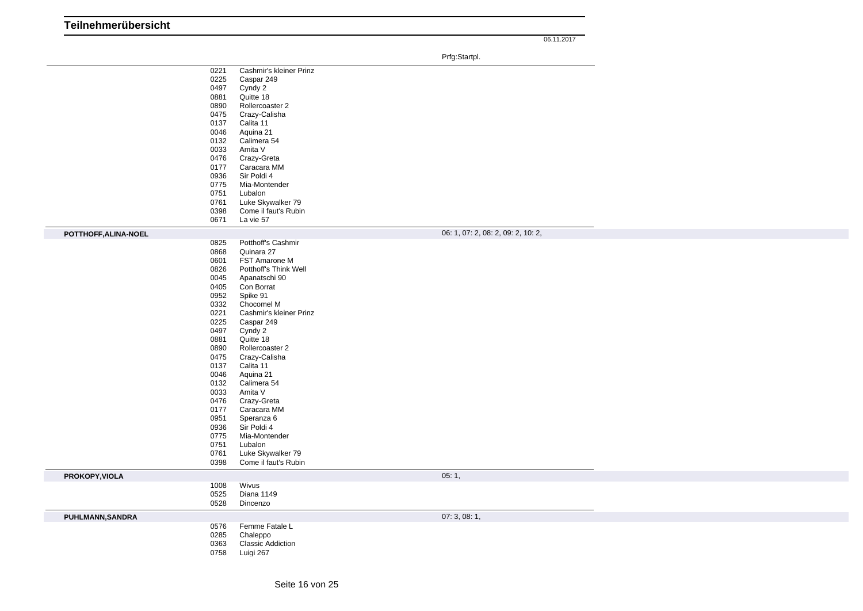| Teilnehmerübersicht |  |
|---------------------|--|
|                     |  |

|                      |      |                          | Prfg:Startpl.                      |  |
|----------------------|------|--------------------------|------------------------------------|--|
|                      | 0221 | Cashmir's kleiner Prinz  |                                    |  |
|                      | 0225 | Caspar 249               |                                    |  |
|                      | 0497 | Cyndy 2                  |                                    |  |
|                      | 0881 | Quitte 18                |                                    |  |
|                      | 0890 | Rollercoaster 2          |                                    |  |
|                      | 0475 | Crazy-Calisha            |                                    |  |
|                      | 0137 | Calita 11                |                                    |  |
|                      | 0046 | Aquina 21                |                                    |  |
|                      | 0132 | Calimera 54              |                                    |  |
|                      | 0033 | Amita V                  |                                    |  |
|                      | 0476 | Crazy-Greta              |                                    |  |
|                      | 0177 | Caracara MM              |                                    |  |
|                      | 0936 | Sir Poldi 4              |                                    |  |
|                      | 0775 | Mia-Montender            |                                    |  |
|                      | 0751 | Lubalon                  |                                    |  |
|                      | 0761 | Luke Skywalker 79        |                                    |  |
|                      | 0398 | Come il faut's Rubin     |                                    |  |
|                      | 0671 | La vie 57                |                                    |  |
| POTTHOFF, ALINA-NOEL |      |                          | 06: 1, 07: 2, 08: 2, 09: 2, 10: 2, |  |
|                      | 0825 | Potthoff's Cashmir       |                                    |  |
|                      | 0868 | Quinara 27               |                                    |  |
|                      | 0601 | FST Amarone M            |                                    |  |
|                      | 0826 | Potthoff's Think Well    |                                    |  |
|                      | 0045 | Apanatschi 90            |                                    |  |
|                      | 0405 | Con Borrat               |                                    |  |
|                      | 0952 | Spike 91                 |                                    |  |
|                      | 0332 | Chocomel M               |                                    |  |
|                      | 0221 | Cashmir's kleiner Prinz  |                                    |  |
|                      | 0225 | Caspar 249               |                                    |  |
|                      | 0497 | Cyndy 2                  |                                    |  |
|                      | 0881 | Quitte 18                |                                    |  |
|                      | 0890 | Rollercoaster 2          |                                    |  |
|                      | 0475 | Crazy-Calisha            |                                    |  |
|                      | 0137 | Calita 11                |                                    |  |
|                      | 0046 | Aquina 21                |                                    |  |
|                      | 0132 | Calimera 54              |                                    |  |
|                      | 0033 | Amita V                  |                                    |  |
|                      | 0476 | Crazy-Greta              |                                    |  |
|                      | 0177 | Caracara MM              |                                    |  |
|                      | 0951 | Speranza 6               |                                    |  |
|                      | 0936 | Sir Poldi 4              |                                    |  |
|                      | 0775 | Mia-Montender            |                                    |  |
|                      | 0751 | Lubalon                  |                                    |  |
|                      | 0761 | Luke Skywalker 79        |                                    |  |
|                      | 0398 | Come il faut's Rubin     |                                    |  |
| PROKOPY, VIOLA       |      |                          | 05:1,                              |  |
|                      | 1008 | Wivus                    |                                    |  |
|                      | 0525 | Diana 1149               |                                    |  |
|                      | 0528 | Dincenzo                 |                                    |  |
|                      |      |                          | 07:3,08:1,                         |  |
| PUHLMANN, SANDRA     | 0576 | Femme Fatale L           |                                    |  |
|                      | 0285 | Chaleppo                 |                                    |  |
|                      | 0363 | <b>Classic Addiction</b> |                                    |  |
|                      | 0758 | Luigi 267                |                                    |  |
|                      |      |                          |                                    |  |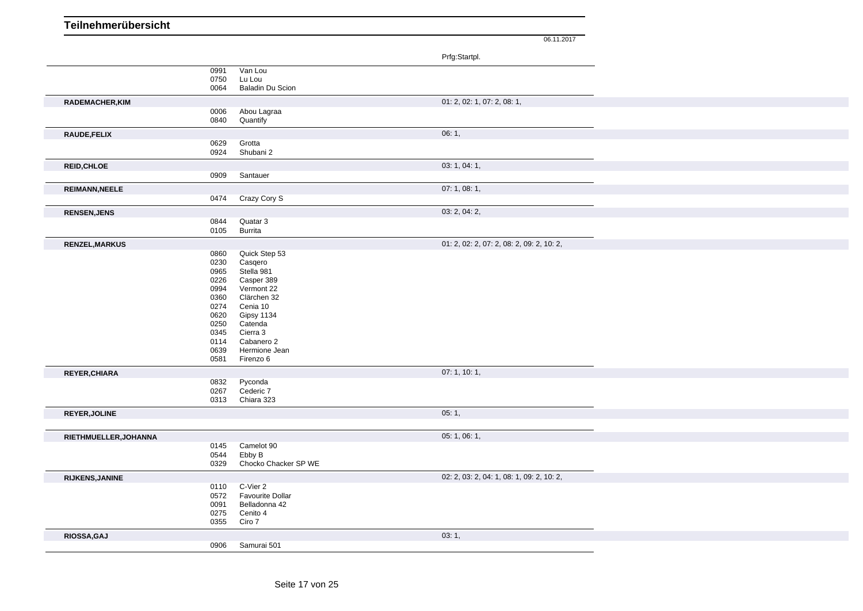| Teilnehmerübersicht    |              |                                          |                                           |
|------------------------|--------------|------------------------------------------|-------------------------------------------|
|                        |              |                                          | 06.11.2017                                |
|                        |              |                                          |                                           |
|                        |              |                                          | Prfg:Startpl.                             |
|                        | 0991         | Van Lou                                  |                                           |
|                        | 0750<br>0064 | Lu Lou<br><b>Baladin Du Scion</b>        |                                           |
|                        |              |                                          |                                           |
| RADEMACHER, KIM        |              |                                          | 01: 2, 02: 1, 07: 2, 08: 1,               |
|                        | 0006<br>0840 | Abou Lagraa<br>Quantify                  |                                           |
|                        |              |                                          |                                           |
| RAUDE, FELIX           | 0629         | Grotta                                   | 06:1,                                     |
|                        | 0924         | Shubani 2                                |                                           |
| <b>REID, CHLOE</b>     |              |                                          | 03: 1, 04: 1,                             |
|                        | 0909         | Santauer                                 |                                           |
|                        |              |                                          | 07:1,08:1,                                |
| <b>REIMANN, NEELE</b>  | 0474         | Crazy Cory S                             |                                           |
|                        |              |                                          |                                           |
| <b>RENSEN, JENS</b>    |              |                                          | 03: 2, 04: 2,                             |
|                        | 0844<br>0105 | Quatar 3<br>Burrita                      |                                           |
|                        |              |                                          |                                           |
| RENZEL, MARKUS         | 0860         | Quick Step 53                            | 01: 2, 02: 2, 07: 2, 08: 2, 09: 2, 10: 2, |
|                        | 0230         | Casqero                                  |                                           |
|                        | 0965         | Stella 981                               |                                           |
|                        | 0226         | Casper 389                               |                                           |
|                        | 0994<br>0360 | Vermont 22<br>Clärchen 32                |                                           |
|                        | 0274         | Cenia 10                                 |                                           |
|                        | 0620         | Gipsy 1134                               |                                           |
|                        | 0250         | Catenda                                  |                                           |
|                        | 0345         | Cierra 3                                 |                                           |
|                        | 0114<br>0639 | Cabanero 2<br>Hermione Jean              |                                           |
|                        | 0581         | Firenzo 6                                |                                           |
| REYER, CHIARA          |              |                                          | 07: 1, 10: 1,                             |
|                        | 0832         | Pyconda                                  |                                           |
|                        | 0267         | Cederic 7                                |                                           |
|                        | 0313         | Chiara 323                               |                                           |
| REYER, JOLINE          |              |                                          | 05:1,                                     |
|                        |              |                                          |                                           |
| RIETHMUELLER, JOHANNA  |              |                                          | 05: 1, 06: 1,                             |
|                        | 0145         | Camelot 90                               |                                           |
|                        | 0544         | Ebby B                                   |                                           |
|                        | 0329         | Chocko Chacker SP WE                     |                                           |
| <b>RIJKENS, JANINE</b> |              |                                          | 02: 2, 03: 2, 04: 1, 08: 1, 09: 2, 10: 2, |
|                        | 0110         | C-Vier 2                                 |                                           |
|                        | 0572<br>0091 | <b>Favourite Dollar</b><br>Belladonna 42 |                                           |
|                        | 0275         | Cenito 4                                 |                                           |
|                        | 0355         | Ciro 7                                   |                                           |
| RIOSSA, GAJ            |              |                                          | 03:1,                                     |
|                        | 0906         | Samurai 501                              |                                           |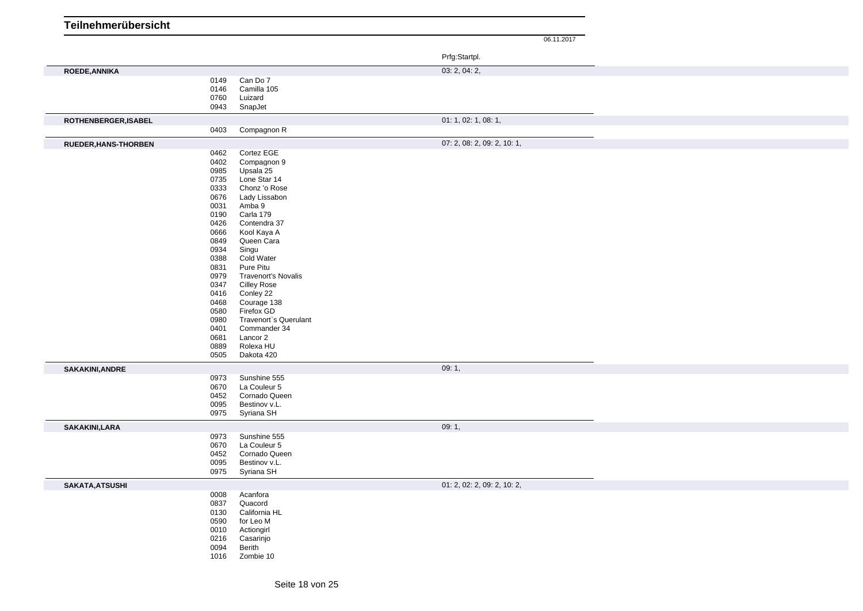| Teilnehmerübersicht         |              |                                     | 06.11.2017                  |
|-----------------------------|--------------|-------------------------------------|-----------------------------|
|                             |              |                                     |                             |
|                             |              |                                     | Prfg:Startpl.               |
|                             |              |                                     | 03: 2, 04: 2,               |
| ROEDE, ANNIKA               | 0149         | Can Do 7                            |                             |
|                             | 0146         | Camilla 105                         |                             |
|                             | 0760         | Luizard                             |                             |
|                             | 0943         | SnapJet                             |                             |
| ROTHENBERGER, ISABEL        |              |                                     | 01: 1, 02: 1, 08: 1,        |
|                             | 0403         | Compagnon R                         |                             |
| <b>RUEDER, HANS-THORBEN</b> |              |                                     | 07: 2, 08: 2, 09: 2, 10: 1, |
|                             | 0462         | Cortez EGE                          |                             |
|                             | 0402         | Compagnon 9                         |                             |
|                             | 0985         | Upsala 25                           |                             |
|                             | 0735         | Lone Star 14                        |                             |
|                             | 0333         | Chonz 'o Rose                       |                             |
|                             | 0676         | Lady Lissabon                       |                             |
|                             | 0031         | Amba 9                              |                             |
|                             | 0190<br>0426 | Carla 179<br>Contendra 37           |                             |
|                             | 0666         | Kool Kaya A                         |                             |
|                             | 0849         | Queen Cara                          |                             |
|                             | 0934         | Singu                               |                             |
|                             | 0388         | Cold Water                          |                             |
|                             | 0831         | Pure Pitu                           |                             |
|                             | 0979         | <b>Travenort's Novalis</b>          |                             |
|                             | 0347         | <b>Cilley Rose</b>                  |                             |
|                             | 0416         | Conley 22                           |                             |
|                             | 0468         | Courage 138                         |                             |
|                             | 0580<br>0980 | Firefox GD<br>Travenort's Querulant |                             |
|                             | 0401         | Commander 34                        |                             |
|                             | 0681         | Lancor 2                            |                             |
|                             | 0889         | Rolexa HU                           |                             |
|                             | 0505         | Dakota 420                          |                             |
| <b>SAKAKINI, ANDRE</b>      |              |                                     | 09:1,                       |
|                             | 0973         | Sunshine 555                        |                             |
|                             | 0670         | La Couleur 5                        |                             |
|                             | 0452         | Cornado Queen                       |                             |
|                             | 0095         | Bestinov v.L.                       |                             |
|                             | 0975         | Syriana SH                          |                             |
| SAKAKINI,LARA               |              |                                     | 09:1,                       |
|                             | 0973         | Sunshine 555                        |                             |
|                             | 0670         | La Couleur 5                        |                             |
|                             | 0452         | Cornado Queen                       |                             |
|                             | 0095         | Bestinov v.L.                       |                             |
|                             | 0975         | Syriana SH                          |                             |
| SAKATA, ATSUSHI             |              |                                     | 01: 2, 02: 2, 09: 2, 10: 2, |
|                             | 0008         | Acanfora                            |                             |
|                             | 0837         | Quacord                             |                             |
|                             | 0130         | California HL                       |                             |
|                             | 0590         | for Leo M                           |                             |
|                             | 0010         | Actiongirl                          |                             |
|                             | 0216         | Casarinjo                           |                             |
|                             | 0094         | Berith                              |                             |
|                             | 1016         | Zombie 10                           |                             |
|                             |              |                                     |                             |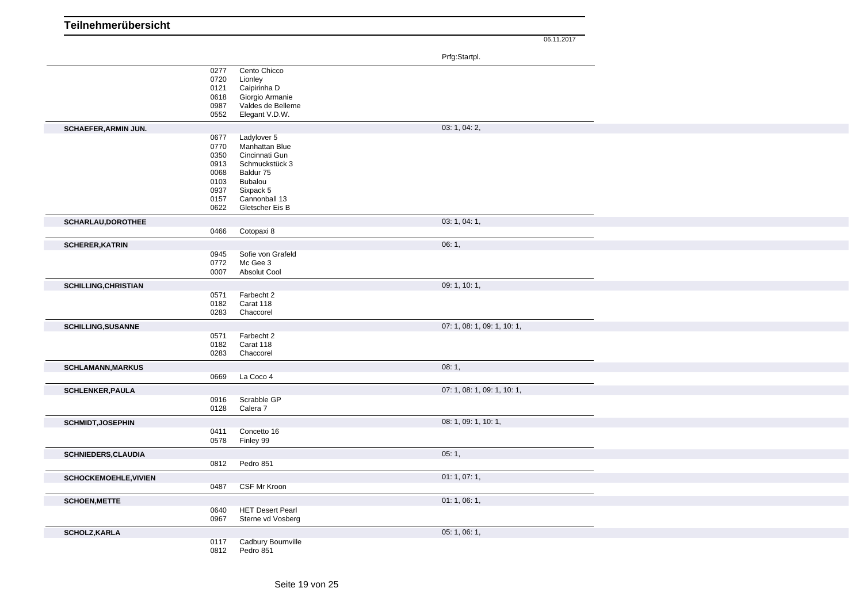| Teilnehmerübersicht          |              |                                 |                             |
|------------------------------|--------------|---------------------------------|-----------------------------|
|                              |              |                                 | 06.11.2017                  |
|                              |              |                                 |                             |
|                              |              |                                 | Prfg:Startpl.               |
|                              | 0277<br>0720 | Cento Chicco<br>Lionley         |                             |
|                              | 0121         | Caipirinha D                    |                             |
|                              | 0618         | Giorgio Armanie                 |                             |
|                              | 0987         | Valdes de Belleme               |                             |
|                              | 0552         | Elegant V.D.W.                  |                             |
| <b>SCHAEFER, ARMIN JUN.</b>  |              |                                 | 03: 1, 04: 2,               |
|                              | 0677         | Ladylover 5                     |                             |
|                              | 0770         | Manhattan Blue                  |                             |
|                              | 0350         | Cincinnati Gun                  |                             |
|                              | 0913         | Schmuckstück 3                  |                             |
|                              | 0068<br>0103 | Baldur <sub>75</sub><br>Bubalou |                             |
|                              | 0937         | Sixpack 5                       |                             |
|                              | 0157         | Cannonball 13                   |                             |
|                              | 0622         | Gletscher Eis B                 |                             |
| <b>SCHARLAU, DOROTHEE</b>    |              |                                 | 03: 1, 04: 1,               |
|                              | 0466         | Cotopaxi 8                      |                             |
| <b>SCHERER, KATRIN</b>       |              |                                 | 06:1,                       |
|                              | 0945         | Sofie von Grafeld               |                             |
|                              | 0772         | Mc Gee 3                        |                             |
|                              | 0007         | Absolut Cool                    |                             |
| <b>SCHILLING, CHRISTIAN</b>  |              |                                 | 09: 1, 10: 1,               |
|                              | 0571         | Farbecht 2                      |                             |
|                              | 0182         | Carat 118                       |                             |
|                              | 0283         | Chaccorel                       |                             |
| <b>SCHILLING, SUSANNE</b>    |              |                                 | 07: 1, 08: 1, 09: 1, 10: 1, |
|                              | 0571         | Farbecht 2                      |                             |
|                              | 0182<br>0283 | Carat 118<br>Chaccorel          |                             |
|                              |              |                                 |                             |
| <b>SCHLAMANN, MARKUS</b>     |              |                                 | 08:1,                       |
|                              | 0669         | La Coco 4                       |                             |
| <b>SCHLENKER, PAULA</b>      |              |                                 | 07: 1, 08: 1, 09: 1, 10: 1, |
|                              | 0916         | Scrabble GP                     |                             |
|                              | 0128         | Calera 7                        |                             |
| SCHMIDT, JOSEPHIN            |              |                                 | 08: 1, 09: 1, 10: 1,        |
|                              | 0411         | Concetto 16                     |                             |
|                              | 0578         | Finley 99                       |                             |
| <b>SCHNIEDERS, CLAUDIA</b>   |              |                                 | 05:1,                       |
|                              | 0812         | Pedro 851                       |                             |
| <b>SCHOCKEMOEHLE, VIVIEN</b> |              |                                 | 01: 1, 07: 1,               |
|                              | 0487         | CSF Mr Kroon                    |                             |
| <b>SCHOEN, METTE</b>         |              |                                 | 01:1,06:1,                  |
|                              | 0640         | <b>HET Desert Pearl</b>         |                             |
|                              | 0967         | Sterne vd Vosberg               |                             |
| <b>SCHOLZ, KARLA</b>         |              |                                 | 05: 1, 06: 1,               |
|                              | 0117         | Cadbury Bournville              |                             |

Pedro 851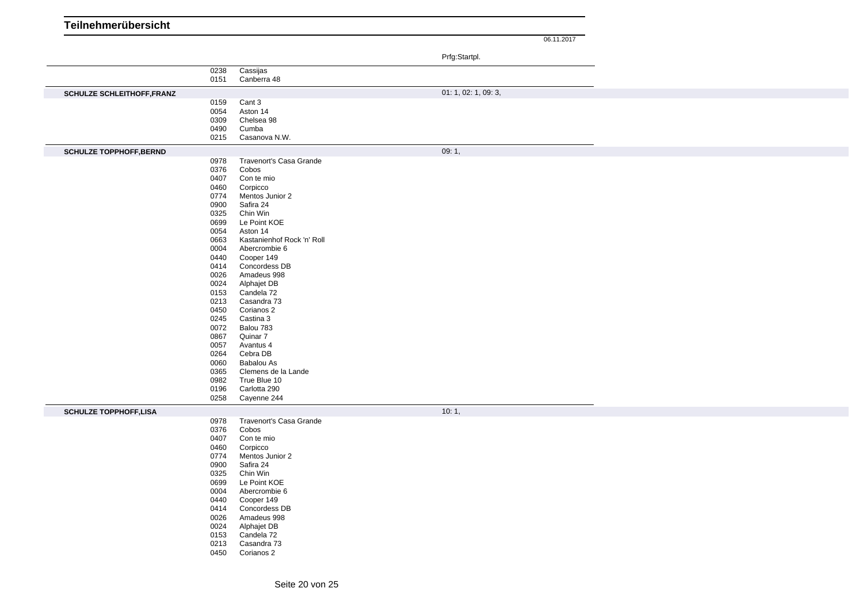| Teilnehmerübersicht |  |
|---------------------|--|
|                     |  |

|                                   |              |                            | Prfg:Startpl.        |
|-----------------------------------|--------------|----------------------------|----------------------|
|                                   |              |                            |                      |
|                                   | 0238<br>0151 | Cassijas                   |                      |
|                                   |              | Canberra 48                |                      |
| <b>SCHULZE SCHLEITHOFF, FRANZ</b> |              |                            | 01: 1, 02: 1, 09: 3, |
|                                   | 0159         | Cant 3                     |                      |
|                                   | 0054         | Aston 14                   |                      |
|                                   | 0309         | Chelsea 98                 |                      |
|                                   | 0490         | Cumba                      |                      |
|                                   | 0215         | Casanova N.W.              |                      |
| <b>SCHULZE TOPPHOFF, BERND</b>    |              |                            | 09:1,                |
|                                   | 0978         | Travenort's Casa Grande    |                      |
|                                   | 0376         | Cobos                      |                      |
|                                   | 0407         | Con te mio                 |                      |
|                                   | 0460         | Corpicco                   |                      |
|                                   | 0774         | Mentos Junior 2            |                      |
|                                   | 0900         | Safira 24                  |                      |
|                                   | 0325         | Chin Win                   |                      |
|                                   | 0699         | Le Point KOE               |                      |
|                                   | 0054         | Aston 14                   |                      |
|                                   | 0663         | Kastanienhof Rock 'n' Roll |                      |
|                                   | 0004         | Abercrombie 6              |                      |
|                                   | 0440         | Cooper 149                 |                      |
|                                   | 0414         | Concordess DB              |                      |
|                                   | 0026<br>0024 | Amadeus 998                |                      |
|                                   | 0153         | Alphajet DB<br>Candela 72  |                      |
|                                   | 0213         | Casandra 73                |                      |
|                                   | 0450         | Corianos 2                 |                      |
|                                   | 0245         | Castina 3                  |                      |
|                                   | 0072         | Balou 783                  |                      |
|                                   | 0867         | Quinar 7                   |                      |
|                                   | 0057         | Avantus 4                  |                      |
|                                   | 0264         | Cebra DB                   |                      |
|                                   | 0060         | Babalou As                 |                      |
|                                   | 0365         | Clemens de la Lande        |                      |
|                                   | 0982         | True Blue 10               |                      |
|                                   | 0196         | Carlotta 290               |                      |
|                                   | 0258         | Cayenne 244                |                      |
|                                   |              |                            | 10:1,                |
| <b>SCHULZE TOPPHOFF,LISA</b>      | 0978         | Travenort's Casa Grande    |                      |
|                                   | 0376         | Cobos                      |                      |
|                                   | 0407         | Con te mio                 |                      |
|                                   | 0460         | Corpicco                   |                      |
|                                   | 0774         | Mentos Junior 2            |                      |
|                                   | 0900         | Safira 24                  |                      |
|                                   | 0325         | Chin Win                   |                      |
|                                   | 0699         | Le Point KOE               |                      |
|                                   | 0004         | Abercrombie 6              |                      |
|                                   | 0440         | Cooper 149                 |                      |
|                                   | 0414         | Concordess DB              |                      |
|                                   | 0026         | Amadeus 998                |                      |
|                                   | 0024         | Alphajet DB                |                      |
|                                   | 0153         | Candela 72                 |                      |
|                                   | 0213         | Casandra 73                |                      |
|                                   | 0450         | Corianos 2                 |                      |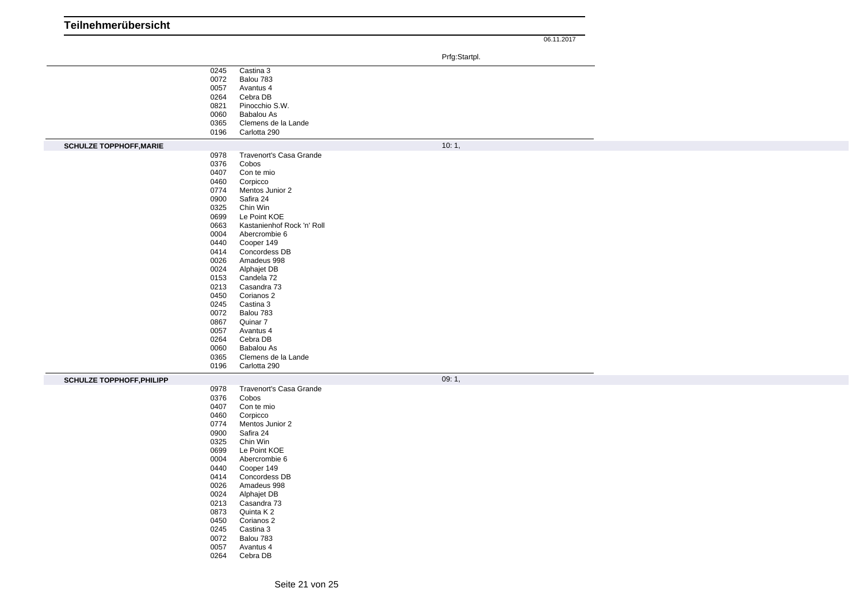| Teilnehmerübersicht              |              |                              |               |            |
|----------------------------------|--------------|------------------------------|---------------|------------|
|                                  |              |                              |               | 06.11.2017 |
|                                  |              |                              | Prfg:Startpl. |            |
|                                  |              |                              |               |            |
|                                  | 0245<br>0072 | Castina 3<br>Balou 783       |               |            |
|                                  | 0057         | Avantus 4                    |               |            |
|                                  | 0264         | Cebra DB                     |               |            |
|                                  | 0821         | Pinocchio S.W.               |               |            |
|                                  | 0060         | <b>Babalou As</b>            |               |            |
|                                  | 0365         | Clemens de la Lande          |               |            |
|                                  | 0196         | Carlotta 290                 |               |            |
| <b>SCHULZE TOPPHOFF, MARIE</b>   |              |                              | 10:1,         |            |
|                                  | 0978         | Travenort's Casa Grande      |               |            |
|                                  | 0376         | Cobos                        |               |            |
|                                  | 0407         | Con te mio                   |               |            |
|                                  | 0460         | Corpicco                     |               |            |
|                                  | 0774<br>0900 | Mentos Junior 2<br>Safira 24 |               |            |
|                                  | 0325         | Chin Win                     |               |            |
|                                  | 0699         | Le Point KOE                 |               |            |
|                                  | 0663         | Kastanienhof Rock 'n' Roll   |               |            |
|                                  | 0004         | Abercrombie 6                |               |            |
|                                  | 0440         | Cooper 149                   |               |            |
|                                  | 0414         | Concordess DB                |               |            |
|                                  | 0026         | Amadeus 998                  |               |            |
|                                  | 0024         | Alphajet DB                  |               |            |
|                                  | 0153         | Candela 72                   |               |            |
|                                  | 0213<br>0450 | Casandra 73                  |               |            |
|                                  | 0245         | Corianos 2<br>Castina 3      |               |            |
|                                  | 0072         | Balou 783                    |               |            |
|                                  | 0867         | Quinar 7                     |               |            |
|                                  | 0057         | Avantus 4                    |               |            |
|                                  | 0264         | Cebra DB                     |               |            |
|                                  | 0060         | <b>Babalou As</b>            |               |            |
|                                  | 0365         | Clemens de la Lande          |               |            |
|                                  | 0196         | Carlotta 290                 |               |            |
| <b>SCHULZE TOPPHOFF, PHILIPP</b> |              |                              | 09:1,         |            |
|                                  | 0978         | Travenort's Casa Grande      |               |            |
|                                  | 0376         | Cobos                        |               |            |
|                                  | 0407         | Con te mio                   |               |            |
|                                  | 0460         | Corpicco                     |               |            |
|                                  | 0774         | Mentos Junior 2              |               |            |
|                                  | 0900         | Safira 24                    |               |            |
|                                  | 0325         | Chin Win<br>Le Point KOE     |               |            |
|                                  | 0699<br>0004 | Abercrombie 6                |               |            |
|                                  | 0440         | Cooper 149                   |               |            |
|                                  | 0414         | Concordess DB                |               |            |
|                                  | 0026         | Amadeus 998                  |               |            |
|                                  | 0024         | Alphajet DB                  |               |            |
|                                  | 0213         | Casandra 73                  |               |            |
|                                  | 0873         | Quinta K 2                   |               |            |
|                                  | 0450         | Corianos 2                   |               |            |
|                                  | 0245         | Castina 3                    |               |            |
|                                  | 0072         | Balou 783                    |               |            |
|                                  | 0057<br>0264 | Avantus 4<br>Cebra DB        |               |            |
|                                  |              |                              |               |            |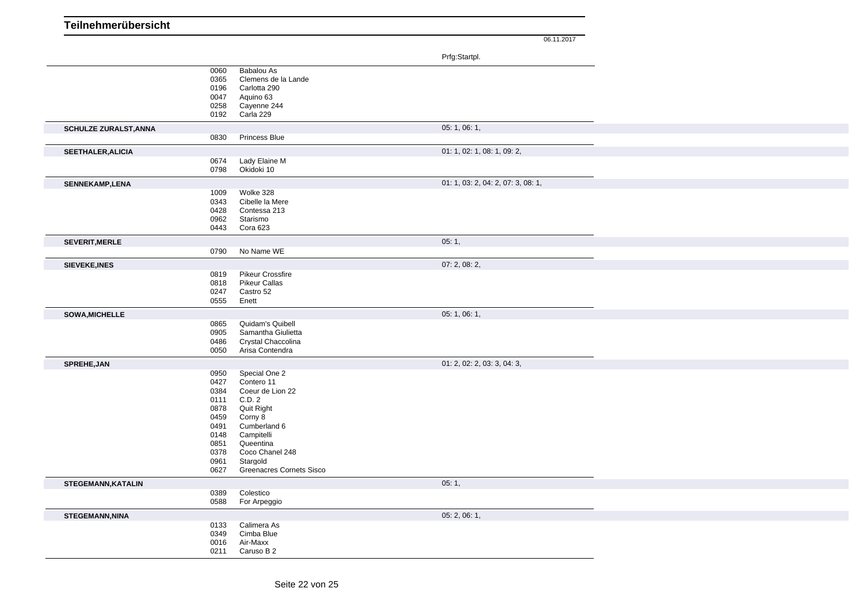| Teilnehmerübersicht |  |
|---------------------|--|
|                     |  |

|                              |                                                                                              |                                                                                                                                                                                          | Prfg:Startpl.                      |  |
|------------------------------|----------------------------------------------------------------------------------------------|------------------------------------------------------------------------------------------------------------------------------------------------------------------------------------------|------------------------------------|--|
|                              | 0060<br>0365<br>0196<br>0047<br>0258<br>0192                                                 | Babalou As<br>Clemens de la Lande<br>Carlotta 290<br>Aquino 63<br>Cayenne 244<br>Carla 229                                                                                               |                                    |  |
| <b>SCHULZE ZURALST, ANNA</b> |                                                                                              |                                                                                                                                                                                          | 05:1,06:1,                         |  |
|                              | 0830                                                                                         | Princess Blue                                                                                                                                                                            |                                    |  |
| <b>SEETHALER, ALICIA</b>     | 0674<br>0798                                                                                 | Lady Elaine M<br>Okidoki 10                                                                                                                                                              | 01: 1, 02: 1, 08: 1, 09: 2,        |  |
| <b>SENNEKAMP, LENA</b>       |                                                                                              |                                                                                                                                                                                          | 01: 1, 03: 2, 04: 2, 07: 3, 08: 1, |  |
|                              | 1009<br>0343<br>0428<br>0962<br>0443                                                         | Wolke 328<br>Cibelle la Mere<br>Contessa 213<br>Starismo<br>Cora 623                                                                                                                     |                                    |  |
| SEVERIT, MERLE               |                                                                                              |                                                                                                                                                                                          | 05:1,                              |  |
|                              | 0790                                                                                         | No Name WE                                                                                                                                                                               |                                    |  |
| <b>SIEVEKE, INES</b>         |                                                                                              |                                                                                                                                                                                          | 07: 2, 08: 2,                      |  |
|                              | 0819<br>0818<br>0247<br>0555                                                                 | <b>Pikeur Crossfire</b><br><b>Pikeur Callas</b><br>Castro 52<br>Enett                                                                                                                    |                                    |  |
| SOWA, MICHELLE               |                                                                                              |                                                                                                                                                                                          | 05:1,06:1,                         |  |
|                              | 0865<br>0905<br>0486<br>0050                                                                 | Quidam's Quibell<br>Samantha Giulietta<br>Crystal Chaccolina<br>Arisa Contendra                                                                                                          |                                    |  |
| SPREHE, JAN                  |                                                                                              |                                                                                                                                                                                          | 01: 2, 02: 2, 03: 3, 04: 3,        |  |
|                              | 0950<br>0427<br>0384<br>0111<br>0878<br>0459<br>0491<br>0148<br>0851<br>0378<br>0961<br>0627 | Special One 2<br>Contero 11<br>Coeur de Lion 22<br>C.D. 2<br>Quit Right<br>Corny 8<br>Cumberland 6<br>Campitelli<br>Queentina<br>Coco Chanel 248<br>Stargold<br>Greenacres Cornets Sisco |                                    |  |
| STEGEMANN, KATALIN           |                                                                                              |                                                                                                                                                                                          | 05:1,                              |  |
|                              | 0389<br>0588                                                                                 | Colestico<br>For Arpeggio                                                                                                                                                                |                                    |  |
| <b>STEGEMANN, NINA</b>       |                                                                                              |                                                                                                                                                                                          | 05: 2, 06: 1,                      |  |
|                              | 0133<br>0349<br>0016<br>0211                                                                 | Calimera As<br>Cimba Blue<br>Air-Maxx<br>Caruso B 2                                                                                                                                      |                                    |  |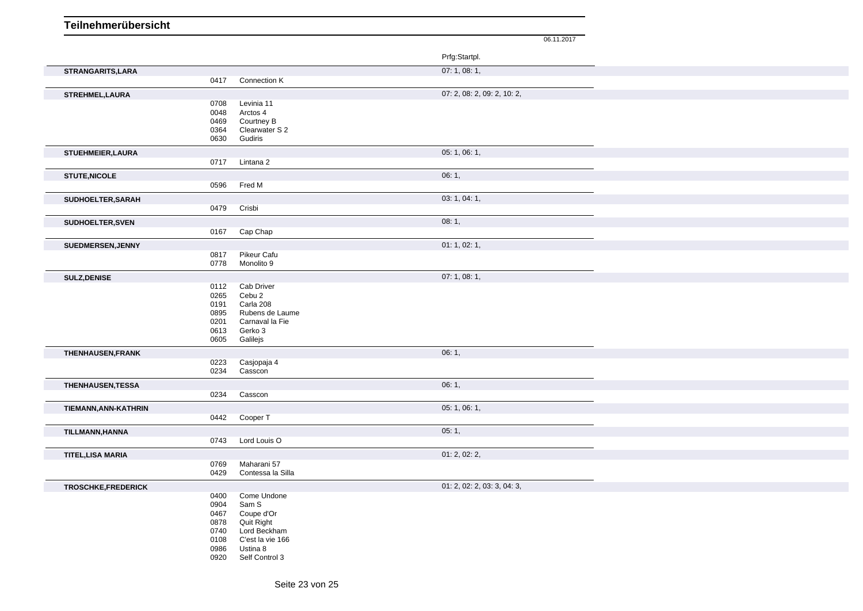| Teilnehmerübersicht      |              |                              |                             |
|--------------------------|--------------|------------------------------|-----------------------------|
|                          |              |                              | 06.11.2017                  |
|                          |              |                              | Prfg:Startpl.               |
| STRANGARITS, LARA        |              |                              | 07:1,08:1,                  |
|                          | 0417         | Connection K                 |                             |
| STREHMEL, LAURA          |              |                              | 07: 2, 08: 2, 09: 2, 10: 2, |
|                          | 0708         | Levinia 11                   |                             |
|                          | 0048         | Arctos 4                     |                             |
|                          | 0469<br>0364 | Courtney B<br>Clearwater S 2 |                             |
|                          | 0630         | Gudiris                      |                             |
| STUEHMEIER, LAURA        |              |                              | 05: 1, 06: 1,               |
|                          | 0717         | Lintana 2                    |                             |
| <b>STUTE, NICOLE</b>     |              |                              | 06:1,                       |
|                          | 0596         | Fred M                       |                             |
|                          |              |                              | 03: 1, 04: 1,               |
| SUDHOELTER, SARAH        | 0479         | Crisbi                       |                             |
|                          |              |                              |                             |
| SUDHOELTER, SVEN         | 0167         | Cap Chap                     | 08:1,                       |
|                          |              |                              | 01: 1, 02: 1,               |
| SUEDMERSEN, JENNY        | 0817         | Pikeur Cafu                  |                             |
|                          | 0778         | Monolito 9                   |                             |
| <b>SULZ, DENISE</b>      |              |                              | 07:1,08:1,                  |
|                          | 0112         | Cab Driver                   |                             |
|                          | 0265         | Cebu 2                       |                             |
|                          | 0191<br>0895 | Carla 208<br>Rubens de Laume |                             |
|                          | 0201         | Carnaval la Fie              |                             |
|                          | 0613         | Gerko 3                      |                             |
|                          | 0605         | Galilejs                     |                             |
| THENHAUSEN, FRANK        |              |                              | 06:1,                       |
|                          | 0223         | Casjopaja 4                  |                             |
|                          | 0234         | Casscon                      |                             |
| <b>THENHAUSEN, TESSA</b> |              |                              | 06:1,                       |
|                          | 0234         | Casscon                      |                             |
| TIEMANN, ANN-KATHRIN     |              |                              | 05: 1, 06: 1,               |
|                          |              | 0442 Cooper T                |                             |
| TILLMANN, HANNA          |              |                              | 05:1,                       |
|                          | 0743         | Lord Louis O                 |                             |
| <b>TITEL, LISA MARIA</b> |              |                              | 01: 2, 02: 2,               |
|                          | 0769         | Maharani 57                  |                             |
|                          | 0429         | Contessa la Silla            |                             |
| TROSCHKE, FREDERICK      |              |                              | 01: 2, 02: 2, 03: 3, 04: 3, |
|                          | 0400         | Come Undone                  |                             |
|                          | 0904         | Sam S                        |                             |
|                          | 0467<br>0878 | Coupe d'Or<br>Quit Right     |                             |
|                          | 0740         | Lord Beckham                 |                             |
|                          | 0108         | C'est la vie 166             |                             |
|                          | 0986         | Ustina 8                     |                             |
|                          | 0920         | Self Control 3               |                             |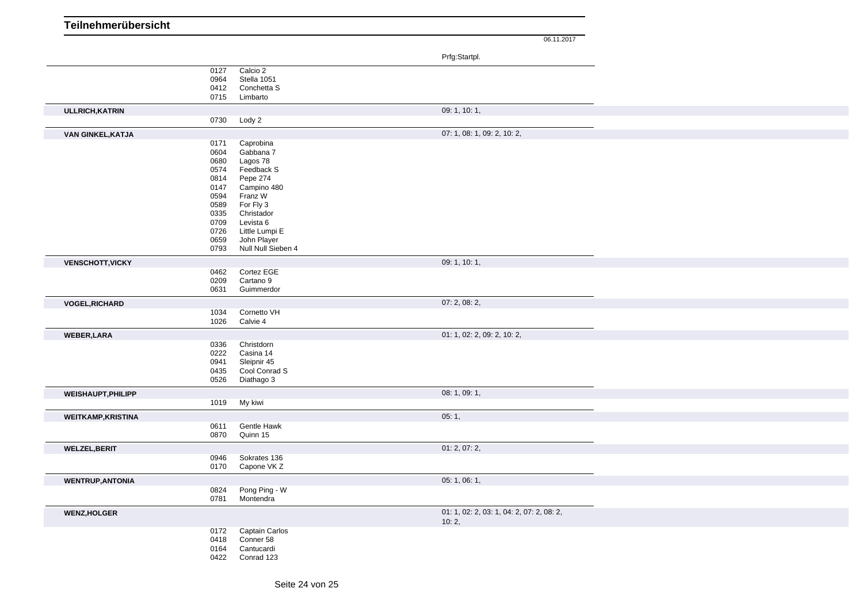| Teilnehmerübersicht       |              |                        |                                           |
|---------------------------|--------------|------------------------|-------------------------------------------|
|                           |              |                        | 06.11.2017                                |
|                           |              |                        | Prfg:Startpl.                             |
|                           | 0127         | Calcio 2               |                                           |
|                           | 0964         | Stella 1051            |                                           |
|                           | 0412         | Conchetta S            |                                           |
|                           | 0715         | Limbarto               |                                           |
| <b>ULLRICH, KATRIN</b>    |              |                        | 09: 1, 10: 1,                             |
|                           | 0730         | Lody 2                 |                                           |
| VAN GINKEL, KATJA         |              |                        | 07: 1, 08: 1, 09: 2, 10: 2,               |
|                           | 0171         | Caprobina              |                                           |
|                           | 0604         | Gabbana 7              |                                           |
|                           | 0680         | Lagos 78               |                                           |
|                           | 0574<br>0814 | Feedback S<br>Pepe 274 |                                           |
|                           | 0147         | Campino 480            |                                           |
|                           | 0594         | Franz W                |                                           |
|                           | 0589         | For Fly 3              |                                           |
|                           | 0335         | Christador             |                                           |
|                           | 0709         | Levista 6              |                                           |
|                           | 0726         | Little Lumpi E         |                                           |
|                           | 0659         | John Player            |                                           |
|                           | 0793         | Null Null Sieben 4     |                                           |
| <b>VENSCHOTT, VICKY</b>   |              |                        | 09: 1, 10: 1,                             |
|                           | 0462         | Cortez EGE             |                                           |
|                           | 0209         | Cartano 9              |                                           |
|                           | 0631         | Guimmerdor             |                                           |
| <b>VOGEL, RICHARD</b>     |              |                        | 07: 2, 08: 2,                             |
|                           | 1034         | Cornetto VH            |                                           |
|                           | 1026         | Calvie 4               |                                           |
| <b>WEBER,LARA</b>         |              |                        | 01: 1, 02: 2, 09: 2, 10: 2,               |
|                           | 0336         | Christdorn             |                                           |
|                           | 0222         | Casina 14              |                                           |
|                           | 0941         | Sleipnir 45            |                                           |
|                           | 0435         | Cool Conrad S          |                                           |
|                           | 0526         | Diathago 3             |                                           |
| <b>WEISHAUPT, PHILIPP</b> |              |                        | 08: 1, 09: 1,                             |
|                           | 1019         | My kiwi                |                                           |
| <b>WEITKAMP, KRISTINA</b> |              |                        | 05:1,                                     |
|                           | 0611         | Gentle Hawk            |                                           |
|                           | 0870         | Quinn 15               |                                           |
| <b>WELZEL, BERIT</b>      |              |                        | 01: 2, 07: 2,                             |
|                           | 0946         | Sokrates 136           |                                           |
|                           | 0170         | Capone VK Z            |                                           |
| <b>WENTRUP, ANTONIA</b>   |              |                        | 05: 1, 06: 1,                             |
|                           | 0824         | Pong Ping - W          |                                           |
|                           | 0781         | Montendra              |                                           |
| <b>WENZ, HOLGER</b>       |              |                        | 01: 1, 02: 2, 03: 1, 04: 2, 07: 2, 08: 2, |
|                           |              |                        | 10:2,                                     |
|                           |              | 0172 Captain Carlos    |                                           |
|                           |              | 0418 Conner 58         |                                           |
|                           |              | 0164 Cantucardi        |                                           |
|                           | 0422         | Conrad 123             |                                           |